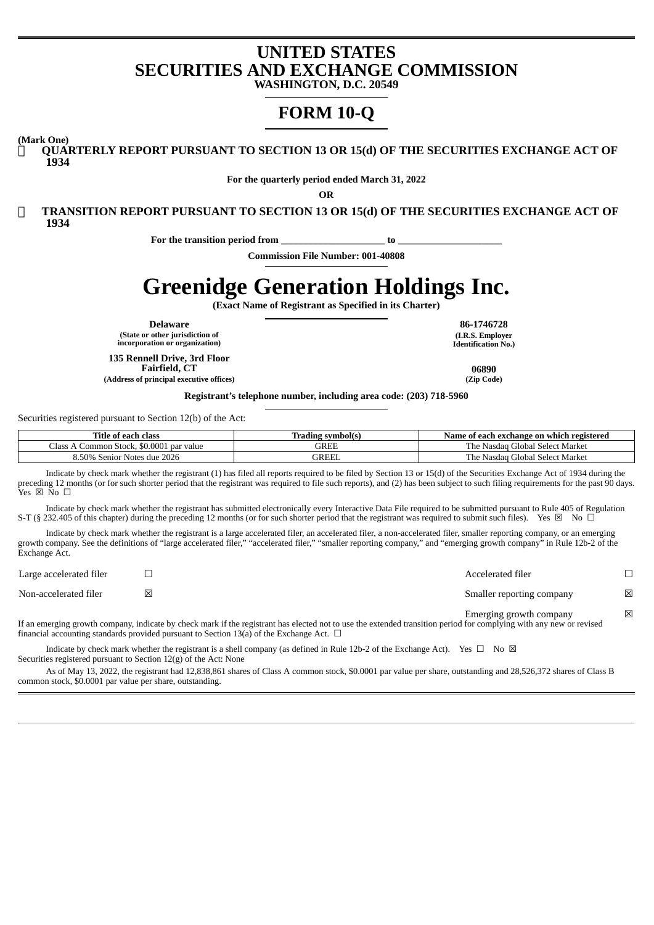# **UNITED STATES SECURITIES AND EXCHANGE COMMISSION**

**WASHINGTON, D.C. 20549**

# **FORM 10-Q**

**(Mark One)**

 **QUARTERLY REPORT PURSUANT TO SECTION 13 OR 15(d) OF THE SECURITIES EXCHANGE ACT OF 1934**

**For the quarterly period ended March 31, 2022**

**OR**

 **TRANSITION REPORT PURSUANT TO SECTION 13 OR 15(d) OF THE SECURITIES EXCHANGE ACT OF 1934**

**For the transition period from \_\_\_\_\_\_\_\_\_\_\_\_\_\_\_\_\_\_\_\_\_ to \_\_\_\_\_\_\_\_\_\_\_\_\_\_\_\_\_\_\_\_\_**

**Commission File Number: 001-40808**

# **Greenidge Generation Holdings Inc.**

**(Exact Name of Registrant as Specified in its Charter)**

**Delaware 86-1746728**

**(State or other jurisdiction of incorporation or organization)**

**135 Rennell Drive, 3rd Floor**

**Fairfield, CT 06890 (Address of principal executive offices) (Zip Code)**

**(I.R.S. Employer Identification No.)**

**Registrant's telephone number, including area code: (203) 718-5960**

Securities registered pursuant to Section 12(b) of the Act:

| 'itle of<br>t each class                       | trading svmbol(s) | Name of each exchange on which registered    |
|------------------------------------------------|-------------------|----------------------------------------------|
| Common Stock. \$0.0001<br>. par value<br>:lass | GREE              | l Select Market<br>Nasdag Global<br>. he     |
| Senior Notes due 2026<br>3.50%                 | GREEL             | l Select Market<br>` Nasdad Global_<br>r ne- |

Indicate by check mark whether the registrant (1) has filed all reports required to be filed by Section 13 or 15(d) of the Securities Exchange Act of 1934 during the preceding 12 months (or for such shorter period that the registrant was required to file such reports), and (2) has been subject to such filing requirements for the past 90 days.  $Yes \boxtimes No \square$ 

Indicate by check mark whether the registrant has submitted electronically every Interactive Data File required to be submitted pursuant to Rule 405 of Regulation S-T (§ 232.405 of this chapter) during the preceding 12 months (or for such shorter period that the registrant was required to submit such files). Yes  $\boxtimes$ 

Indicate by check mark whether the registrant is a large accelerated filer, an accelerated filer, a non-accelerated filer, smaller reporting company, or an emerging growth company. See the definitions of "large accelerated filer," "accelerated filer," "smaller reporting company," and "emerging growth company" in Rule 12b-2 of the Exchange Act.

| Large accelerated filer |     | Accelerated filer         |   |
|-------------------------|-----|---------------------------|---|
| Non-accelerated filer   | Ι×Ι | Smaller reporting company | ⊠ |
|                         |     | Emerging growth company   | ⊠ |

If an emerging growth company, indicate by check mark if the registrant has elected not to use the extended transition period for complying with any new or revised financial accounting standards provided pursuant to Section 13(a) of the Exchange Act.  $\Box$ 

Indicate by check mark whether the registrant is a shell company (as defined in Rule 12b-2 of the Exchange Act). Yes  $\Box$  No  $\boxtimes$ Securities registered pursuant to Section 12(g) of the Act: None

As of May 13, 2022, the registrant had 12,838,861 shares of Class A common stock, \$0.0001 par value per share, outstanding and 28,526,372 shares of Class B common stock, \$0.0001 par value per share, outstanding.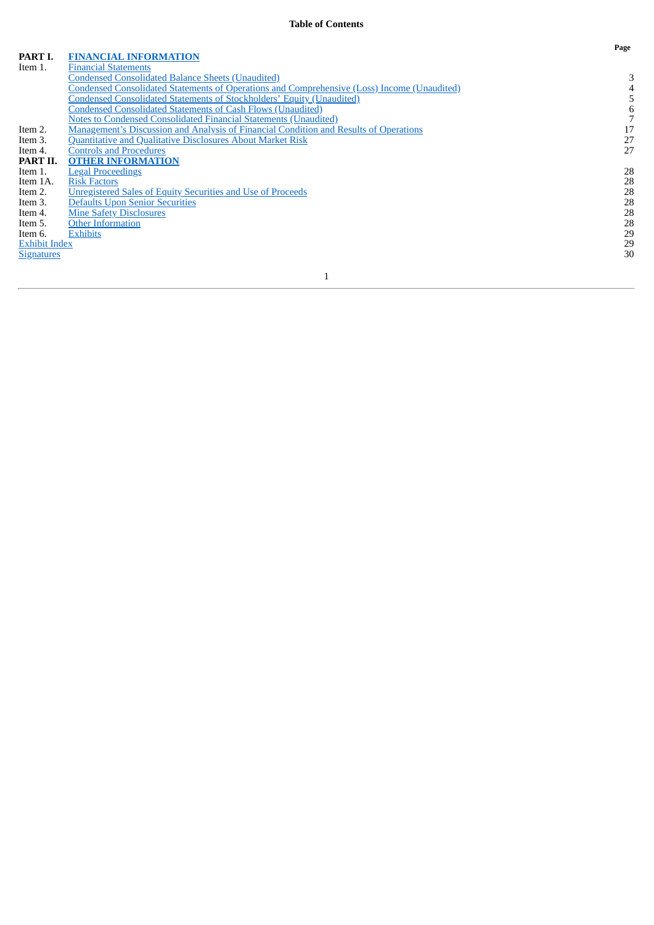<span id="page-1-0"></span>

|                      |                                                                                             | Page |
|----------------------|---------------------------------------------------------------------------------------------|------|
| PART I.              | <b>FINANCIAL INFORMATION</b>                                                                |      |
| Item 1.              | <b>Financial Statements</b>                                                                 |      |
|                      | <b>Condensed Consolidated Balance Sheets (Unaudited)</b>                                    | 3    |
|                      | Condensed Consolidated Statements of Operations and Comprehensive (Loss) Income (Unaudited) |      |
|                      | Condensed Consolidated Statements of Stockholders' Equity (Unaudited)                       |      |
|                      | <b>Condensed Consolidated Statements of Cash Flows (Unaudited)</b>                          | 6    |
|                      | <b>Notes to Condensed Consolidated Financial Statements (Unaudited)</b>                     |      |
| Item 2.              | Management's Discussion and Analysis of Financial Condition and Results of Operations       | 17   |
| Item 3.              | <b>Quantitative and Qualitative Disclosures About Market Risk</b>                           | 27   |
| Item 4.              | <b>Controls and Procedures</b>                                                              | 27   |
| PART II.             | <b>OTHER INFORMATION</b>                                                                    |      |
| Item 1.              | <b>Legal Proceedings</b>                                                                    | 28   |
| Item 1A.             | <b>Risk Factors</b>                                                                         | 28   |
| Item 2.              | Unregistered Sales of Equity Securities and Use of Proceeds                                 | 28   |
| Item 3.              | <b>Defaults Upon Senior Securities</b>                                                      | 28   |
| Item 4.              | <b>Mine Safety Disclosures</b>                                                              | 28   |
| Item 5.              | <b>Other Information</b>                                                                    | 28   |
| Item 6.              | <b>Exhibits</b>                                                                             | 29   |
| <b>Exhibit Index</b> |                                                                                             | 29   |
| <b>Signatures</b>    |                                                                                             | 30   |
|                      |                                                                                             |      |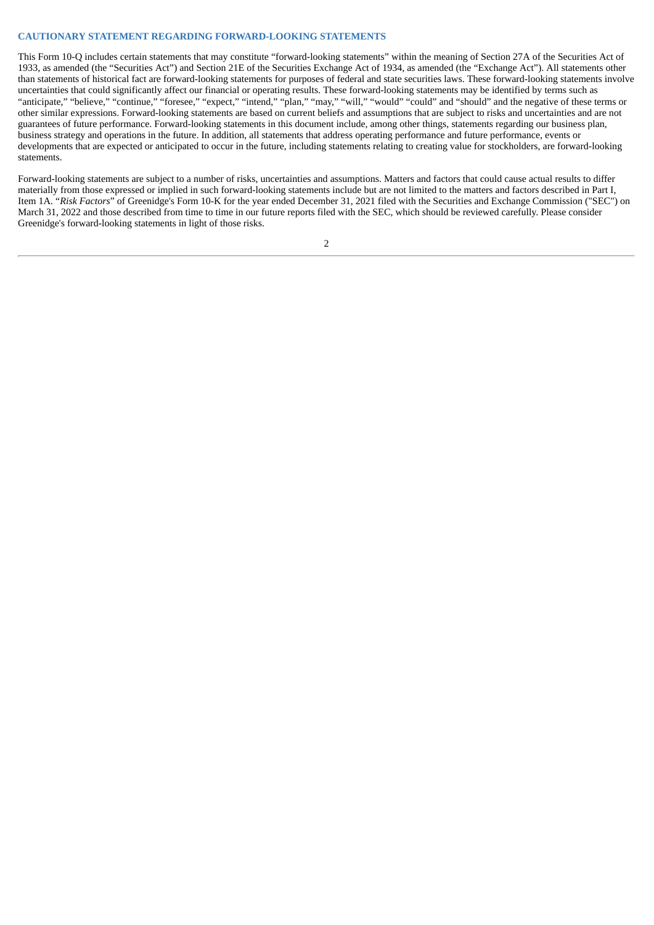#### **CAUTIONARY STATEMENT REGARDING FORWARD-LOOKING STATEMENTS**

This Form 10-Q includes certain statements that may constitute "forward-looking statements" within the meaning of Section 27A of the Securities Act of 1933, as amended (the "Securities Act") and Section 21E of the Securities Exchange Act of 1934, as amended (the "Exchange Act"). All statements other than statements of historical fact are forward-looking statements for purposes of federal and state securities laws. These forward-looking statements involve uncertainties that could significantly affect our financial or operating results. These forward-looking statements may be identified by terms such as "anticipate," "believe," "continue," "foresee," "expect," "intend," "plan," "may," "will," "would" "could" and "should" and the negative of these terms or other similar expressions. Forward-looking statements are based on current beliefs and assumptions that are subject to risks and uncertainties and are not guarantees of future performance. Forward-looking statements in this document include, among other things, statements regarding our business plan, business strategy and operations in the future. In addition, all statements that address operating performance and future performance, events or developments that are expected or anticipated to occur in the future, including statements relating to creating value for stockholders, are forward-looking statements.

Forward-looking statements are subject to a number of risks, uncertainties and assumptions. Matters and factors that could cause actual results to differ materially from those expressed or implied in such forward-looking statements include but are not limited to the matters and factors described in Part I, Item 1A. "*Risk Factors*" of Greenidge's Form 10-K for the year ended December 31, 2021 filed with the Securities and Exchange Commission ("SEC") on March 31, 2022 and those described from time to time in our future reports filed with the SEC, which should be reviewed carefully. Please consider Greenidge's forward-looking statements in light of those risks.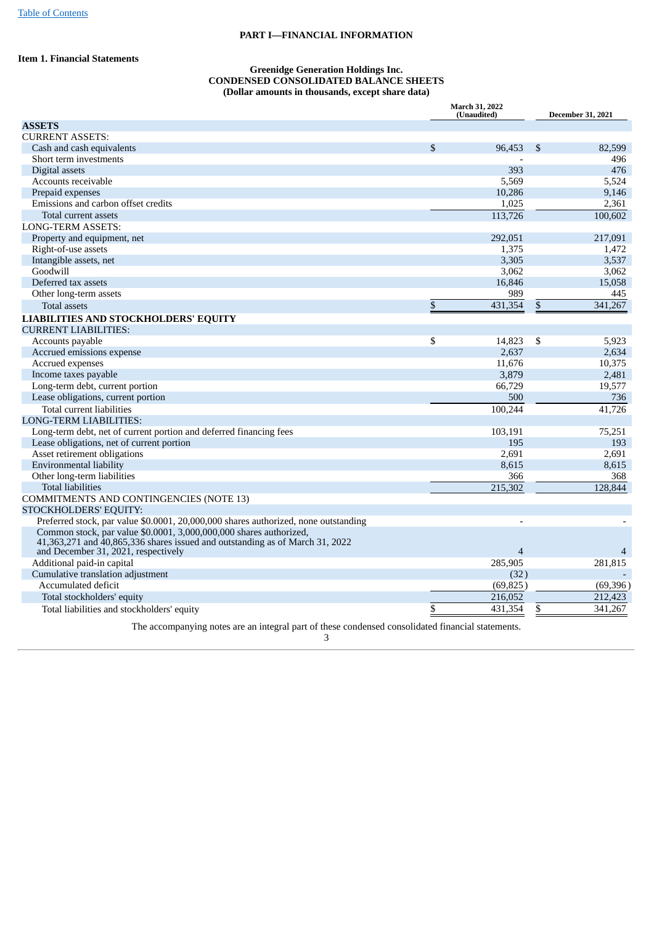## **PART I—FINANCIAL INFORMATION**

## <span id="page-3-2"></span><span id="page-3-1"></span><span id="page-3-0"></span>**Item 1. Financial Statements**

#### **Greenidge Generation Holdings Inc. CONDENSED CONSOLIDATED BALANCE SHEETS (Dollar amounts in thousands, except share data)**

|                                                                                                                                                                                           | March 31, 2022<br>(Unaudited) |               | <b>December 31, 2021</b> |
|-------------------------------------------------------------------------------------------------------------------------------------------------------------------------------------------|-------------------------------|---------------|--------------------------|
| <b>ASSETS</b>                                                                                                                                                                             |                               |               |                          |
| <b>CURRENT ASSETS:</b>                                                                                                                                                                    |                               |               |                          |
| Cash and cash equivalents                                                                                                                                                                 | \$<br>96.453                  | <sup>\$</sup> | 82,599                   |
| Short term investments                                                                                                                                                                    |                               |               | 496                      |
| Digital assets                                                                                                                                                                            | 393                           |               | 476                      |
| Accounts receivable                                                                                                                                                                       | 5,569                         |               | 5,524                    |
| Prepaid expenses                                                                                                                                                                          | 10,286                        |               | 9,146                    |
| Emissions and carbon offset credits                                                                                                                                                       | 1,025                         |               | 2,361                    |
| Total current assets                                                                                                                                                                      | 113,726                       |               | 100,602                  |
| <b>LONG-TERM ASSETS:</b>                                                                                                                                                                  |                               |               |                          |
| Property and equipment, net                                                                                                                                                               | 292,051                       |               | 217,091                  |
| Right-of-use assets                                                                                                                                                                       | 1,375                         |               | 1,472                    |
| Intangible assets, net                                                                                                                                                                    | 3,305                         |               | 3,537                    |
| Goodwill                                                                                                                                                                                  | 3,062                         |               | 3,062                    |
| Deferred tax assets                                                                                                                                                                       | 16,846                        |               | 15,058                   |
| Other long-term assets                                                                                                                                                                    | 989                           |               | 445                      |
| Total assets                                                                                                                                                                              | \$<br>431,354                 | \$            | 341,267                  |
| <b>LIABILITIES AND STOCKHOLDERS' EQUITY</b>                                                                                                                                               |                               |               |                          |
| <b>CURRENT LIABILITIES:</b>                                                                                                                                                               |                               |               |                          |
| Accounts payable                                                                                                                                                                          | \$<br>14,823                  | \$            | 5,923                    |
| Accrued emissions expense                                                                                                                                                                 | 2,637                         |               | 2,634                    |
| Accrued expenses                                                                                                                                                                          | 11,676                        |               | 10,375                   |
| Income taxes payable                                                                                                                                                                      | 3,879                         |               | 2,481                    |
| Long-term debt, current portion                                                                                                                                                           | 66,729                        |               | 19,577                   |
| Lease obligations, current portion                                                                                                                                                        | 500                           |               | 736                      |
| Total current liabilities                                                                                                                                                                 | 100,244                       |               | 41,726                   |
| <b>LONG-TERM LIABILITIES:</b>                                                                                                                                                             |                               |               |                          |
| Long-term debt, net of current portion and deferred financing fees                                                                                                                        | 103,191                       |               | 75,251                   |
| Lease obligations, net of current portion                                                                                                                                                 | 195                           |               | 193                      |
| Asset retirement obligations                                                                                                                                                              | 2,691                         |               | 2,691                    |
| Environmental liability                                                                                                                                                                   | 8,615                         |               | 8,615                    |
| Other long-term liabilities                                                                                                                                                               | 366                           |               | 368                      |
| <b>Total liabilities</b>                                                                                                                                                                  | 215,302                       |               | 128,844                  |
| <b>COMMITMENTS AND CONTINGENCIES (NOTE 13)</b>                                                                                                                                            |                               |               |                          |
| STOCKHOLDERS' EQUITY:                                                                                                                                                                     |                               |               |                          |
| Preferred stock, par value \$0.0001, 20,000,000 shares authorized, none outstanding                                                                                                       |                               |               |                          |
| Common stock, par value \$0.0001, 3,000,000,000 shares authorized,<br>41,363,271 and 40,865,336 shares issued and outstanding as of March 31, 2022<br>and December 31, 2021, respectively | $\overline{4}$                |               | $\overline{4}$           |
| Additional paid-in capital                                                                                                                                                                | 285,905                       |               | 281,815                  |
| Cumulative translation adjustment                                                                                                                                                         | (32)                          |               |                          |
| Accumulated deficit                                                                                                                                                                       | (69, 825)                     |               | (69, 396)                |
| Total stockholders' equity                                                                                                                                                                | 216,052                       |               | 212,423                  |
| Total liabilities and stockholders' equity                                                                                                                                                | \$<br>431,354                 | \$            | 341,267                  |

The accompanying notes are an integral part of these condensed consolidated financial statements.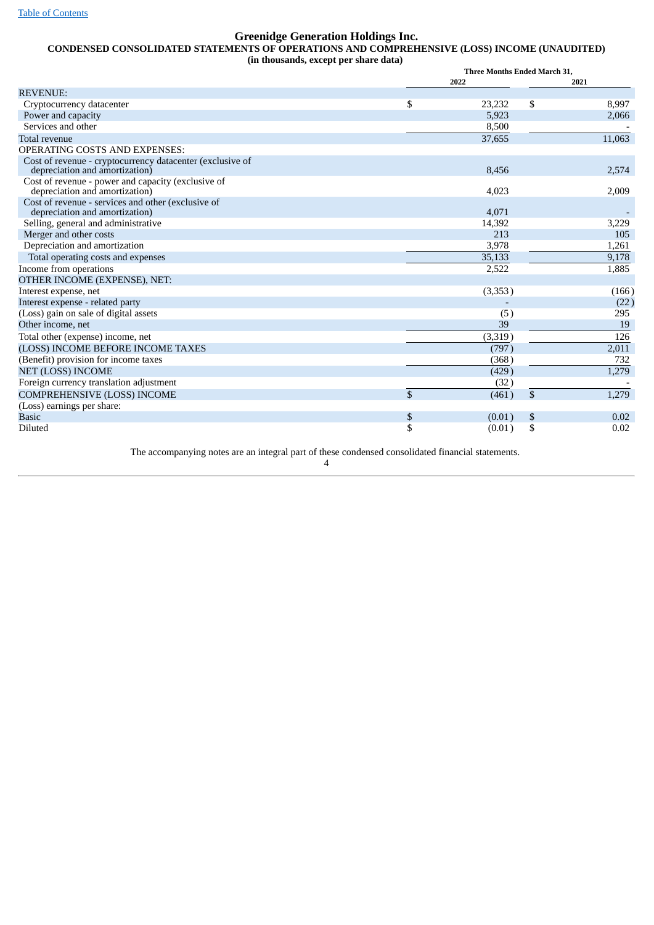#### **Greenidge Generation Holdings Inc. CONDENSED CONSOLIDATED STATEMENTS OF OPERATIONS AND COMPREHENSIVE (LOSS) INCOME (UNAUDITED) (in thousands, except per share data)**

<span id="page-4-0"></span>

|                                                                                             | Three Months Ended March 31, |                           |        |  |
|---------------------------------------------------------------------------------------------|------------------------------|---------------------------|--------|--|
|                                                                                             | 2022                         |                           | 2021   |  |
| <b>REVENUE:</b>                                                                             |                              |                           |        |  |
| Cryptocurrency datacenter                                                                   | \$<br>23,232                 | \$                        | 8,997  |  |
| Power and capacity                                                                          | 5,923                        |                           | 2,066  |  |
| Services and other                                                                          | 8,500                        |                           |        |  |
| Total revenue                                                                               | 37,655                       |                           | 11,063 |  |
| <b>OPERATING COSTS AND EXPENSES:</b>                                                        |                              |                           |        |  |
| Cost of revenue - cryptocurrency datacenter (exclusive of<br>depreciation and amortization) | 8,456                        |                           | 2,574  |  |
| Cost of revenue - power and capacity (exclusive of<br>depreciation and amortization)        | 4,023                        |                           | 2,009  |  |
| Cost of revenue - services and other (exclusive of<br>depreciation and amortization)        | 4,071                        |                           |        |  |
| Selling, general and administrative                                                         | 14,392                       |                           | 3,229  |  |
| Merger and other costs                                                                      | 213                          |                           | 105    |  |
| Depreciation and amortization                                                               | 3,978                        |                           | 1,261  |  |
| Total operating costs and expenses                                                          | 35,133                       |                           | 9,178  |  |
| Income from operations                                                                      | 2,522                        |                           | 1,885  |  |
| OTHER INCOME (EXPENSE), NET:                                                                |                              |                           |        |  |
| Interest expense, net                                                                       | (3,353)                      |                           | (166)  |  |
| Interest expense - related party                                                            |                              |                           | (22)   |  |
| (Loss) gain on sale of digital assets                                                       | (5)                          |                           | 295    |  |
| Other income, net                                                                           | 39                           |                           | 19     |  |
| Total other (expense) income, net                                                           | (3,319)                      |                           | 126    |  |
| (LOSS) INCOME BEFORE INCOME TAXES                                                           | (797)                        |                           | 2,011  |  |
| (Benefit) provision for income taxes                                                        | (368)                        |                           | 732    |  |
| NET (LOSS) INCOME                                                                           | (429)                        |                           | 1,279  |  |
| Foreign currency translation adjustment                                                     | (32)                         |                           |        |  |
| COMPREHENSIVE (LOSS) INCOME                                                                 | \$<br>(461)                  | $\boldsymbol{\mathsf{S}}$ | 1,279  |  |
| (Loss) earnings per share:                                                                  |                              |                           |        |  |
| <b>Basic</b>                                                                                | \$<br>(0.01)                 | \$                        | 0.02   |  |
| Diluted                                                                                     | \$<br>(0.01)                 | \$                        | 0.02   |  |

The accompanying notes are an integral part of these condensed consolidated financial statements.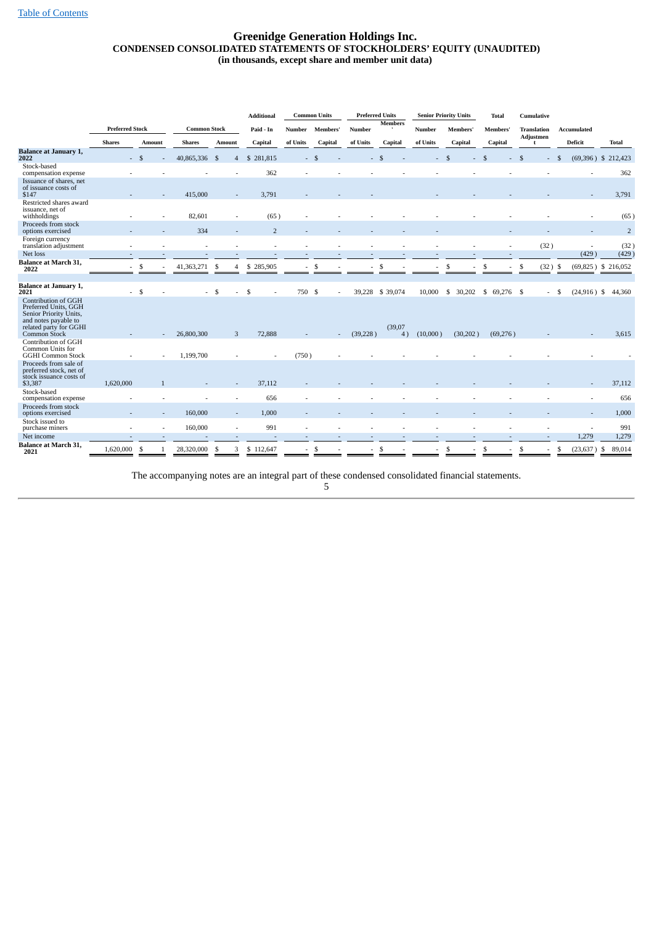### **Greenidge Generation Holdings Inc. CONDENSED CONSOLIDATED STATEMENTS OF STOCKHOLDERS' EQUITY (UNAUDITED) (in thousands, except share and member unit data)**

<span id="page-5-0"></span>

|                                                                                                                                         |                          |              |                     |                      | <b>Additional</b>       |                          | <b>Common Units</b> |           | <b>Preferred Units</b> |          | <b>Senior Priority Units</b> | <b>Total</b>                    | Cumulative                    |                     |                       |
|-----------------------------------------------------------------------------------------------------------------------------------------|--------------------------|--------------|---------------------|----------------------|-------------------------|--------------------------|---------------------|-----------|------------------------|----------|------------------------------|---------------------------------|-------------------------------|---------------------|-----------------------|
|                                                                                                                                         | <b>Preferred Stock</b>   |              | <b>Common Stock</b> |                      | Paid - In               | <b>Number</b>            | <b>Members'</b>     | Number    | <b>Members</b>         | Number   | Members'                     | <b>Members</b>                  | <b>Translation</b>            | <b>Accumulated</b>  |                       |
|                                                                                                                                         | <b>Shares</b>            | Amount       | <b>Shares</b>       | Amount               | Capital                 | of Units                 | Capital             | of Units  | Capital                | of Units | Capital                      | Capital                         | Adjustmen<br>t                | Deficit             | Total                 |
| <b>Balance at January 1,</b><br>2022                                                                                                    | $\overline{\phantom{a}}$ | $\mathbf{s}$ | 40,865,336          | $\mathbf{s}$<br>Δ    | 281,815<br>$\mathbb{S}$ | $\sim$                   | $\mathcal{S}$       |           | $\mathbf{\hat{S}}$     |          | $\mathcal{S}$                | $\mathbf{\hat{S}}$              | $\mathbf{s}$                  | $\mathfrak{F}$      | $(69,396)$ \$ 212,423 |
| Stock-based<br>compensation expense                                                                                                     |                          |              |                     |                      | 362                     |                          |                     |           |                        |          |                              |                                 |                               |                     | 362                   |
| Issuance of shares, net<br>of issuance costs of<br>\$147                                                                                |                          |              | 415,000             | $\sim$               | 3,791                   |                          |                     |           |                        |          |                              |                                 |                               |                     | 3,791                 |
| Restricted shares award<br>issuance, net of<br>withholdings                                                                             |                          |              | 82,601              | ٠                    | (65)                    |                          |                     |           |                        |          |                              |                                 |                               |                     | (65)                  |
| Proceeds from stock<br>options exercised                                                                                                |                          |              | 334                 | -                    | $\overline{2}$          |                          |                     |           |                        |          |                              |                                 |                               |                     | $\overline{2}$        |
| Foreign currency<br>translation adjustment                                                                                              |                          |              |                     |                      |                         |                          |                     |           |                        |          |                              |                                 | (32)                          | $\blacksquare$      | (32)                  |
| Net loss                                                                                                                                | $\overline{\phantom{a}}$ |              |                     |                      |                         |                          |                     |           |                        |          |                              |                                 |                               | (429)               | (429)                 |
| <b>Balance at March 31,</b><br>2022                                                                                                     | ٠                        | -\$          | 41,363,271          | -S<br>$\overline{4}$ | \$285,905               | ٠                        | -S                  |           | -\$                    |          | \$                           | \$.<br>$\overline{\phantom{a}}$ | \$<br>$(32)$ \$               |                     | $(69,825)$ \$ 216,052 |
| <b>Balance at January 1,</b><br>2021                                                                                                    |                          | $-5$         |                     | $-$ \$               | \$                      | 750 \$                   |                     | 39,228    | \$39,074               | 10,000   | \$<br>30,202                 | $$69,276$ \$                    | $\sim$                        | -S<br>$(24,916)$ \$ | 44,360                |
| Contribution of GGH<br>Preferred Units, GGH<br>Senior Priority Units,<br>and notes payable to<br>related party for GGHI<br>Common Stock |                          |              | 26,800,300          | 3                    | 72,888                  |                          |                     | (39, 228) | (39,07)<br>4)          | (10,000) | (30, 202)                    | (69, 276)                       |                               |                     | 3,615                 |
| Contribution of GGH<br>Common Units for<br><b>GGHI Common Stock</b>                                                                     |                          |              | 1,199,700           |                      | ٠                       | (750)                    |                     |           |                        |          |                              |                                 |                               |                     |                       |
| Proceeds from sale of<br>preferred stock, net of<br>stock issuance costs of<br>\$3,387                                                  | 1,620,000                | $\mathbf{1}$ |                     |                      | 37.112                  |                          |                     |           |                        |          |                              |                                 |                               |                     | 37,112                |
| Stock-based<br>compensation expense                                                                                                     |                          |              |                     | $\overline{a}$       | 656                     |                          |                     |           |                        |          |                              |                                 |                               |                     | 656                   |
| Proceeds from stock<br>options exercised                                                                                                |                          |              | 160,000             | ٠                    | 1,000                   |                          |                     |           |                        |          |                              |                                 |                               |                     | 1,000                 |
| Stock issued to<br>purchase miners                                                                                                      |                          |              | 160,000             | ٠                    | 991                     |                          |                     |           |                        |          |                              |                                 |                               | ٠                   | 991                   |
| Net income                                                                                                                              |                          |              |                     | ٠                    | $\overline{a}$          |                          |                     |           |                        |          |                              |                                 |                               | 1,279               | 1,279                 |
| <b>Balance at March 31.</b><br>2021                                                                                                     | 1,620,000 \$             | 1            | 28,320,000          | 3<br>-S              | \$112,647               | $\overline{\phantom{a}}$ | -S                  |           | \$                     |          | \$                           | \$                              | S<br>$\overline{\phantom{a}}$ | (23, 637)<br>\$     | 89,014<br>- \$        |

The accompanying notes are an integral part of these condensed consolidated financial statements.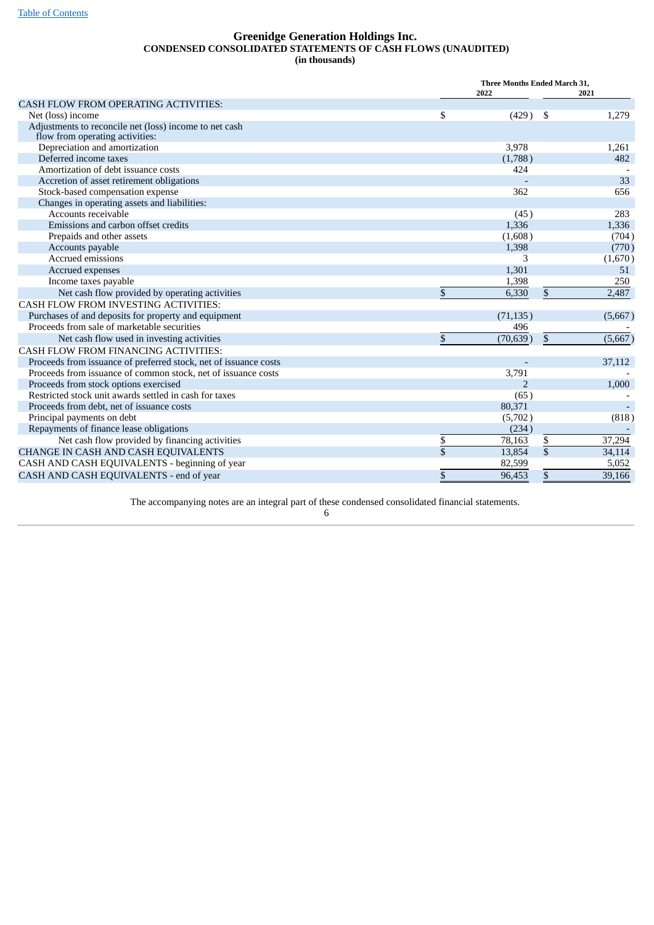#### **Greenidge Generation Holdings Inc. CONDENSED CONSOLIDATED STATEMENTS OF CASH FLOWS (UNAUDITED) (in thousands)**

<span id="page-6-0"></span>

|                                                                  |             | <b>Three Months Ended March 31.</b><br>2022 |                           | 2021    |  |
|------------------------------------------------------------------|-------------|---------------------------------------------|---------------------------|---------|--|
| <b>CASH FLOW FROM OPERATING ACTIVITIES:</b>                      |             |                                             |                           |         |  |
| Net (loss) income                                                | \$          | (429)                                       | -\$                       | 1,279   |  |
| Adjustments to reconcile net (loss) income to net cash           |             |                                             |                           |         |  |
| flow from operating activities:                                  |             |                                             |                           |         |  |
| Depreciation and amortization                                    |             | 3,978                                       |                           | 1,261   |  |
| Deferred income taxes                                            |             | (1,788)                                     |                           | 482     |  |
| Amortization of debt issuance costs                              |             | 424                                         |                           |         |  |
| Accretion of asset retirement obligations                        |             |                                             |                           | 33      |  |
| Stock-based compensation expense                                 |             | 362                                         |                           | 656     |  |
| Changes in operating assets and liabilities:                     |             |                                             |                           |         |  |
| Accounts receivable                                              |             | (45)                                        |                           | 283     |  |
| Emissions and carbon offset credits                              |             | 1,336                                       |                           | 1,336   |  |
| Prepaids and other assets                                        |             | (1,608)                                     |                           | (704)   |  |
| Accounts payable                                                 |             | 1,398                                       |                           | (770)   |  |
| <b>Accrued emissions</b>                                         |             | 3                                           |                           | (1,670) |  |
| Accrued expenses                                                 |             | 1,301                                       |                           | 51      |  |
| Income taxes payable                                             |             | 1,398                                       |                           | 250     |  |
| Net cash flow provided by operating activities                   | \$          | 6,330                                       | \$                        | 2,487   |  |
| <b>CASH FLOW FROM INVESTING ACTIVITIES:</b>                      |             |                                             |                           |         |  |
| Purchases of and deposits for property and equipment             |             | (71, 135)                                   |                           | (5,667) |  |
| Proceeds from sale of marketable securities                      |             | 496                                         |                           |         |  |
| Net cash flow used in investing activities                       | \$          | (70, 639)                                   | $\$$                      | (5,667) |  |
| CASH FLOW FROM FINANCING ACTIVITIES:                             |             |                                             |                           |         |  |
| Proceeds from issuance of preferred stock, net of issuance costs |             |                                             |                           | 37,112  |  |
| Proceeds from issuance of common stock, net of issuance costs    |             | 3,791                                       |                           |         |  |
| Proceeds from stock options exercised                            |             | $\overline{2}$                              |                           | 1,000   |  |
| Restricted stock unit awards settled in cash for taxes           |             | (65)                                        |                           |         |  |
| Proceeds from debt, net of issuance costs                        |             | 80,371                                      |                           |         |  |
| Principal payments on debt                                       |             | (5,702)                                     |                           | (818)   |  |
| Repayments of finance lease obligations                          |             | (234)                                       |                           |         |  |
| Net cash flow provided by financing activities                   | \$          | 78,163                                      | \$                        | 37,294  |  |
| CHANGE IN CASH AND CASH EQUIVALENTS                              | $\mathbf S$ | 13,854                                      | $\boldsymbol{\mathsf{S}}$ | 34,114  |  |
| CASH AND CASH EQUIVALENTS - beginning of year                    |             | 82,599                                      |                           | 5,052   |  |
| CASH AND CASH EQUIVALENTS - end of year                          | \$          | 96,453                                      | \$                        | 39,166  |  |
|                                                                  |             |                                             |                           |         |  |

The accompanying notes are an integral part of these condensed consolidated financial statements.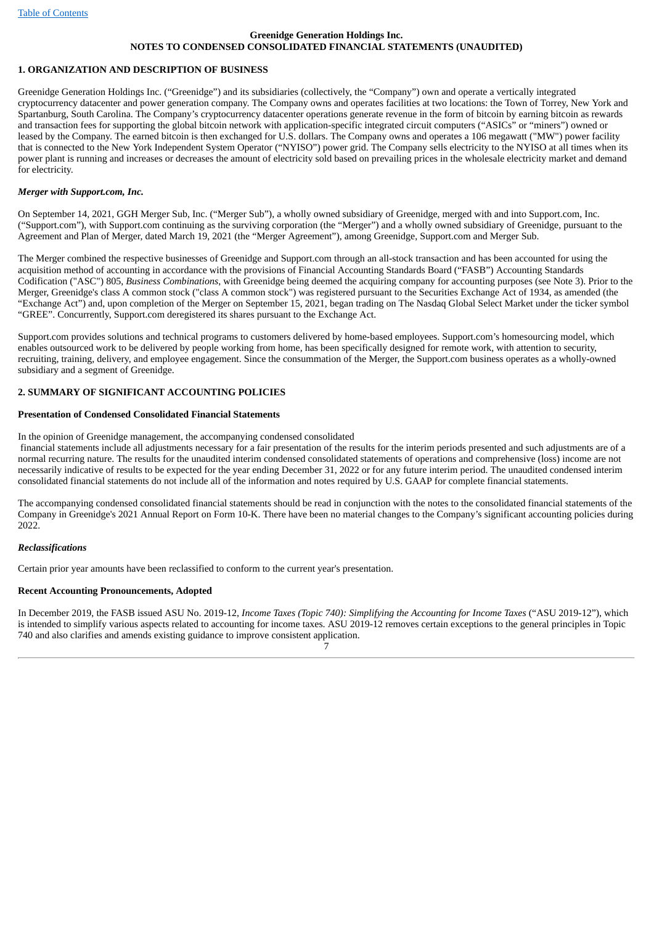#### **Greenidge Generation Holdings Inc. NOTES TO CONDENSED CONSOLIDATED FINANCIAL STATEMENTS (UNAUDITED)**

#### <span id="page-7-0"></span>**1. ORGANIZATION AND DESCRIPTION OF BUSINESS**

Greenidge Generation Holdings Inc. ("Greenidge") and its subsidiaries (collectively, the "Company") own and operate a vertically integrated cryptocurrency datacenter and power generation company. The Company owns and operates facilities at two locations: the Town of Torrey, New York and Spartanburg, South Carolina. The Company's cryptocurrency datacenter operations generate revenue in the form of bitcoin by earning bitcoin as rewards and transaction fees for supporting the global bitcoin network with application-specific integrated circuit computers ("ASICs" or "miners") owned or leased by the Company. The earned bitcoin is then exchanged for U.S. dollars. The Company owns and operates a 106 megawatt ("MW") power facility that is connected to the New York Independent System Operator ("NYISO") power grid. The Company sells electricity to the NYISO at all times when its power plant is running and increases or decreases the amount of electricity sold based on prevailing prices in the wholesale electricity market and demand for electricity.

#### *Merger with Support.com, Inc.*

On September 14, 2021, GGH Merger Sub, Inc. ("Merger Sub"), a wholly owned subsidiary of Greenidge, merged with and into Support.com, Inc. ("Support.com"), with Support.com continuing as the surviving corporation (the "Merger") and a wholly owned subsidiary of Greenidge, pursuant to the Agreement and Plan of Merger, dated March 19, 2021 (the "Merger Agreement"), among Greenidge, Support.com and Merger Sub.

The Merger combined the respective businesses of Greenidge and Support.com through an all-stock transaction and has been accounted for using the acquisition method of accounting in accordance with the provisions of Financial Accounting Standards Board ("FASB") Accounting Standards Codification ("ASC") 805, *Business Combinations*, with Greenidge being deemed the acquiring company for accounting purposes (see Note 3). Prior to the Merger, Greenidge's class A common stock ("class A common stock") was registered pursuant to the Securities Exchange Act of 1934, as amended (the "Exchange Act") and, upon completion of the Merger on September 15, 2021, began trading on The Nasdaq Global Select Market under the ticker symbol "GREE". Concurrently, Support.com deregistered its shares pursuant to the Exchange Act.

Support.com provides solutions and technical programs to customers delivered by home-based employees. Support.com's homesourcing model, which enables outsourced work to be delivered by people working from home, has been specifically designed for remote work, with attention to security, recruiting, training, delivery, and employee engagement. Since the consummation of the Merger, the Support.com business operates as a wholly-owned subsidiary and a segment of Greenidge.

## **2. SUMMARY OF SIGNIFICANT ACCOUNTING POLICIES**

#### **Presentation of Condensed Consolidated Financial Statements**

In the opinion of Greenidge management, the accompanying condensed consolidated

financial statements include all adjustments necessary for a fair presentation of the results for the interim periods presented and such adjustments are of a normal recurring nature. The results for the unaudited interim condensed consolidated statements of operations and comprehensive (loss) income are not necessarily indicative of results to be expected for the year ending December 31, 2022 or for any future interim period. The unaudited condensed interim consolidated financial statements do not include all of the information and notes required by U.S. GAAP for complete financial statements.

The accompanying condensed consolidated financial statements should be read in conjunction with the notes to the consolidated financial statements of the Company in Greenidge's 2021 Annual Report on Form 10-K. There have been no material changes to the Company's significant accounting policies during 2022.

#### *Reclassifications*

Certain prior year amounts have been reclassified to conform to the current year's presentation.

#### **Recent Accounting Pronouncements, Adopted**

In December 2019, the FASB issued ASU No. 2019-12, *Income Taxes (Topic 740): Simplifying the Accounting for Income Taxes* ("ASU 2019-12"), which is intended to simplify various aspects related to accounting for income taxes. ASU 2019-12 removes certain exceptions to the general principles in Topic 740 and also clarifies and amends existing guidance to improve consistent application.

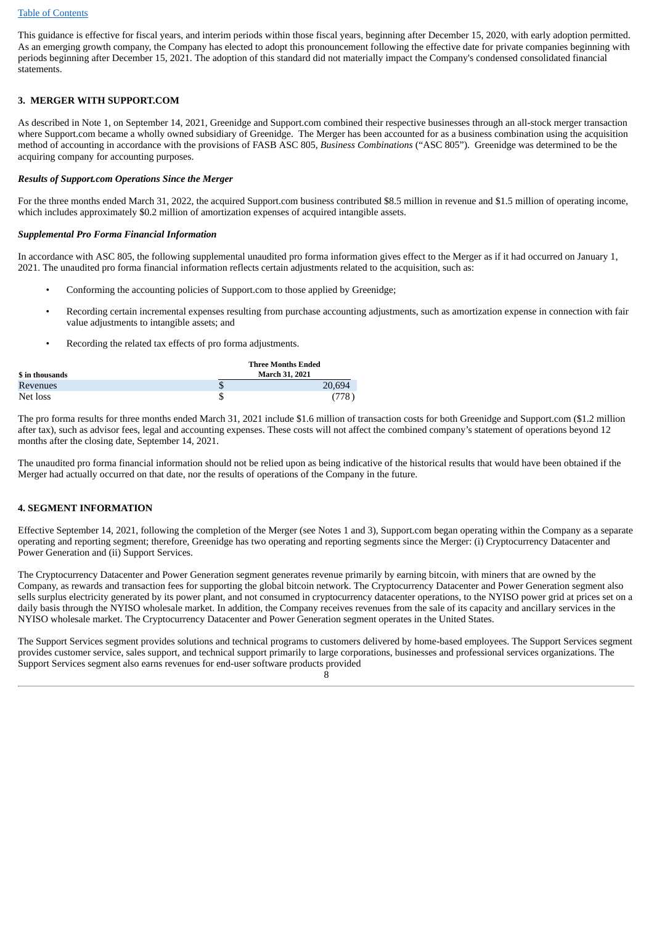This guidance is effective for fiscal years, and interim periods within those fiscal years, beginning after December 15, 2020, with early adoption permitted. As an emerging growth company, the Company has elected to adopt this pronouncement following the effective date for private companies beginning with periods beginning after December 15, 2021. The adoption of this standard did not materially impact the Company's condensed consolidated financial statements.

#### **3. MERGER WITH SUPPORT.COM**

As described in Note 1, on September 14, 2021, Greenidge and Support.com combined their respective businesses through an all-stock merger transaction where Support.com became a wholly owned subsidiary of Greenidge. The Merger has been accounted for as a business combination using the acquisition method of accounting in accordance with the provisions of FASB ASC 805, *Business Combinations* ("ASC 805"). Greenidge was determined to be the acquiring company for accounting purposes.

#### *Results of Support.com Operations Since the Merger*

For the three months ended March 31, 2022, the acquired Support.com business contributed \$8.5 million in revenue and \$1.5 million of operating income, which includes approximately \$0.2 million of amortization expenses of acquired intangible assets.

#### *Supplemental Pro Forma Financial Information*

In accordance with ASC 805, the following supplemental unaudited pro forma information gives effect to the Merger as if it had occurred on January 1, 2021. The unaudited pro forma financial information reflects certain adjustments related to the acquisition, such as:

- Conforming the accounting policies of Support.com to those applied by Greenidge;
- Recording certain incremental expenses resulting from purchase accounting adjustments, such as amortization expense in connection with fair value adjustments to intangible assets; and
- Recording the related tax effects of pro forma adjustments.

| <b>\$</b> in thousands | <b>Three Months Ended</b><br><b>March 31, 2021</b> |        |
|------------------------|----------------------------------------------------|--------|
| <b>Revenues</b>        | \$                                                 | 20.694 |
| Net loss               | \$                                                 | (778)  |

The pro forma results for three months ended March 31, 2021 include \$1.6 million of transaction costs for both Greenidge and Support.com (\$1.2 million after tax), such as advisor fees, legal and accounting expenses. These costs will not affect the combined company's statement of operations beyond 12 months after the closing date, September 14, 2021.

The unaudited pro forma financial information should not be relied upon as being indicative of the historical results that would have been obtained if the Merger had actually occurred on that date, nor the results of operations of the Company in the future.

#### **4. SEGMENT INFORMATION**

Effective September 14, 2021, following the completion of the Merger (see Notes 1 and 3), Support.com began operating within the Company as a separate operating and reporting segment; therefore, Greenidge has two operating and reporting segments since the Merger: (i) Cryptocurrency Datacenter and Power Generation and (ii) Support Services.

The Cryptocurrency Datacenter and Power Generation segment generates revenue primarily by earning bitcoin, with miners that are owned by the Company, as rewards and transaction fees for supporting the global bitcoin network. The Cryptocurrency Datacenter and Power Generation segment also sells surplus electricity generated by its power plant, and not consumed in cryptocurrency datacenter operations, to the NYISO power grid at prices set on a daily basis through the NYISO wholesale market. In addition, the Company receives revenues from the sale of its capacity and ancillary services in the NYISO wholesale market. The Cryptocurrency Datacenter and Power Generation segment operates in the United States.

The Support Services segment provides solutions and technical programs to customers delivered by home-based employees. The Support Services segment provides customer service, sales support, and technical support primarily to large corporations, businesses and professional services organizations. The Support Services segment also earns revenues for end-user software products provided

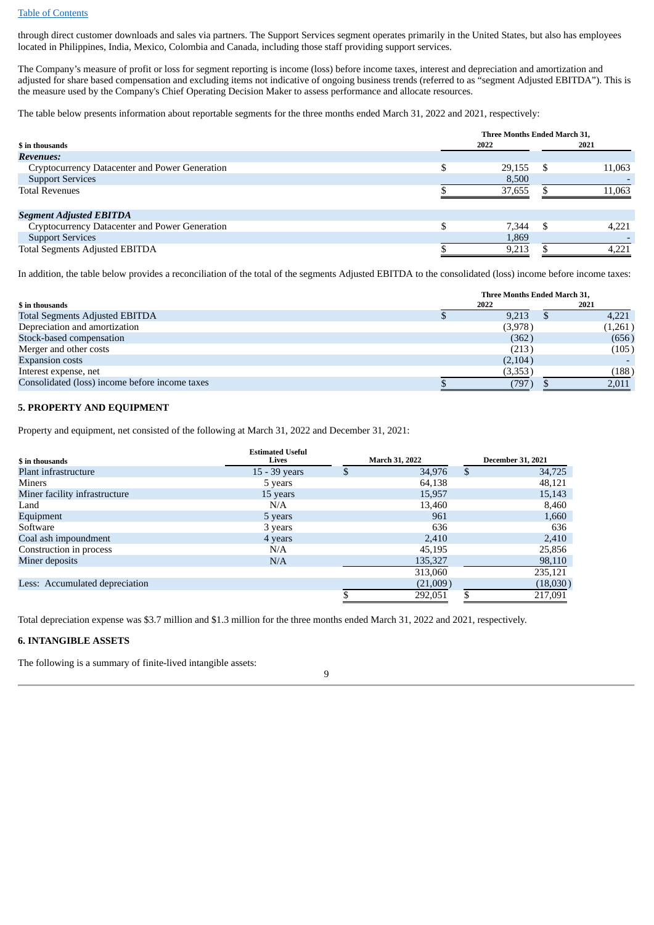through direct customer downloads and sales via partners. The Support Services segment operates primarily in the United States, but also has employees located in Philippines, India, Mexico, Colombia and Canada, including those staff providing support services.

The Company's measure of profit or loss for segment reporting is income (loss) before income taxes, interest and depreciation and amortization and adjusted for share based compensation and excluding items not indicative of ongoing business trends (referred to as "segment Adjusted EBITDA"). This is the measure used by the Company's Chief Operating Decision Maker to assess performance and allocate resources.

The table below presents information about reportable segments for the three months ended March 31, 2022 and 2021, respectively:

|                                                | Three Months Ended March 31, |        |     |        |
|------------------------------------------------|------------------------------|--------|-----|--------|
| \$ in thousands                                |                              | 2022   |     | 2021   |
| <b>Revenues:</b>                               |                              |        |     |        |
| Cryptocurrency Datacenter and Power Generation |                              | 29,155 | - S | 11,063 |
| <b>Support Services</b>                        |                              | 8,500  |     |        |
| <b>Total Revenues</b>                          |                              | 37,655 |     | 11,063 |
| <b>Segment Adjusted EBITDA</b>                 |                              |        |     |        |
| Cryptocurrency Datacenter and Power Generation |                              | 7.344  |     | 4,221  |
| <b>Support Services</b>                        |                              | 1,869  |     |        |
| <b>Total Segments Adjusted EBITDA</b>          |                              | 9,213  |     | 4,221  |

In addition, the table below provides a reconciliation of the total of the segments Adjusted EBITDA to the consolidated (loss) income before income taxes:

|                                                |  | Three Months Ended March 31. |  |         |
|------------------------------------------------|--|------------------------------|--|---------|
| \$ in thousands                                |  | 2022                         |  | 2021    |
| <b>Total Segments Adjusted EBITDA</b>          |  | 9.213                        |  | 4,221   |
| Depreciation and amortization                  |  | (3,978)                      |  | (1,261) |
| Stock-based compensation                       |  | (362)                        |  | (656)   |
| Merger and other costs                         |  | (213)                        |  | (105)   |
| <b>Expansion costs</b>                         |  | (2,104)                      |  |         |
| Interest expense, net                          |  | (3,353)                      |  | (188)   |
| Consolidated (loss) income before income taxes |  | (797                         |  | 2,011   |

## **5. PROPERTY AND EQUIPMENT**

Property and equipment, net consisted of the following at March 31, 2022 and December 31, 2021:

|                                | <b>Estimated Useful</b> |                       |                          |          |  |
|--------------------------------|-------------------------|-----------------------|--------------------------|----------|--|
| \$ in thousands                | Lives                   | <b>March 31, 2022</b> | <b>December 31, 2021</b> |          |  |
| Plant infrastructure           | 15 - 39 years           | \$<br>34,976          | \$                       | 34,725   |  |
| <b>Miners</b>                  | 5 years                 | 64,138                |                          | 48,121   |  |
| Miner facility infrastructure  | 15 years                | 15,957                |                          | 15,143   |  |
| Land                           | N/A                     | 13,460                |                          | 8,460    |  |
| Equipment                      | 5 years                 | 961                   |                          | 1,660    |  |
| Software                       | 3 years                 | 636                   |                          | 636      |  |
| Coal ash impoundment           | 4 years                 | 2,410                 |                          | 2,410    |  |
| Construction in process        | N/A                     | 45,195                |                          | 25,856   |  |
| Miner deposits                 | N/A                     | 135,327               |                          | 98,110   |  |
|                                |                         | 313,060               |                          | 235,121  |  |
| Less: Accumulated depreciation |                         | (21,009)              |                          | (18,030) |  |
|                                |                         | 292,051               |                          | 217,091  |  |

Total depreciation expense was \$3.7 million and \$1.3 million for the three months ended March 31, 2022 and 2021, respectively.

#### **6. INTANGIBLE ASSETS**

The following is a summary of finite-lived intangible assets: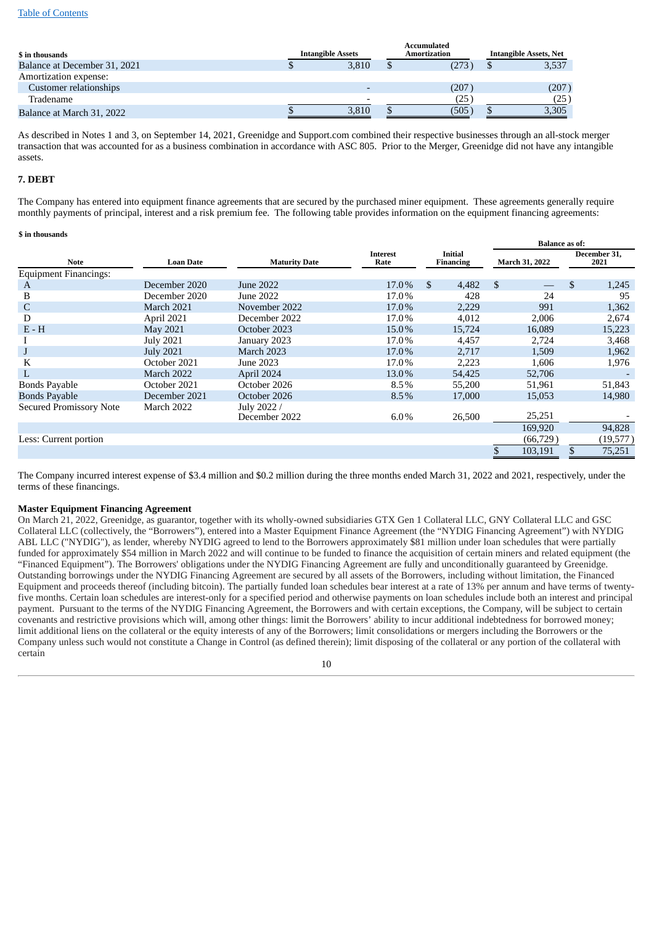|                              |                                          |       |  | <b>Accumulated</b>            |  |       |
|------------------------------|------------------------------------------|-------|--|-------------------------------|--|-------|
| \$ in thousands              | <b>Intangible Assets</b><br>Amortization |       |  | <b>Intangible Assets, Net</b> |  |       |
| Balance at December 31, 2021 |                                          | 3,810 |  | (273)                         |  | 3,537 |
| Amortization expense:        |                                          |       |  |                               |  |       |
| Customer relationships       |                                          |       |  | (207)                         |  | (207) |
| Tradename                    |                                          |       |  | (25                           |  | 25)   |
| Balance at March 31, 2022    |                                          | 3,810 |  | (505)                         |  | 3,305 |

As described in Notes 1 and 3, on September 14, 2021, Greenidge and Support.com combined their respective businesses through an all-stock merger transaction that was accounted for as a business combination in accordance with ASC 805. Prior to the Merger, Greenidge did not have any intangible assets.

#### **7. DEBT**

The Company has entered into equipment finance agreements that are secured by the purchased miner equipment. These agreements generally require monthly payments of principal, interest and a risk premium fee. The following table provides information on the equipment financing agreements:

**Balance as of:**

#### **\$ in thousands**

|                                |                  |                              |                         |                             | Balance as or: |                      |  |  |
|--------------------------------|------------------|------------------------------|-------------------------|-----------------------------|----------------|----------------------|--|--|
| <b>Note</b>                    | <b>Loan Date</b> | <b>Maturity Date</b>         | <b>Interest</b><br>Rate | Initial<br><b>Financing</b> | March 31, 2022 | December 31,<br>2021 |  |  |
| <b>Equipment Financings:</b>   |                  |                              |                         |                             |                |                      |  |  |
| A                              | December 2020    | June 2022                    | 17.0%                   | 4,482<br><sup>\$</sup>      | <sup>\$</sup>  | \$<br>1,245          |  |  |
| B                              | December 2020    | June 2022                    | 17.0%                   | 428                         | 24             | 95                   |  |  |
| C                              | March 2021       | November 2022                | 17.0%                   | 2,229                       | 991            | 1,362                |  |  |
| D                              | April 2021       | December 2022                | 17.0%                   | 4,012                       | 2,006          | 2,674                |  |  |
| $E - H$                        | May 2021         | October 2023                 | 15.0%                   | 15,724                      | 16,089         | 15,223               |  |  |
|                                | <b>July 2021</b> | January 2023                 | 17.0%                   | 4,457                       | 2,724          | 3,468                |  |  |
| J                              | <b>July 2021</b> | <b>March 2023</b>            | 17.0%                   | 2,717                       | 1,509          | 1,962                |  |  |
| K                              | October 2021     | June 2023                    | 17.0%                   | 2,223                       | 1,606          | 1,976                |  |  |
| L                              | March 2022       | April 2024                   | 13.0%                   | 54,425                      | 52,706         |                      |  |  |
| <b>Bonds Payable</b>           | October 2021     | October 2026                 | $8.5\%$                 | 55,200                      | 51,961         | 51,843               |  |  |
| <b>Bonds Pavable</b>           | December 2021    | October 2026                 | 8.5%                    | 17,000                      | 15,053         | 14,980               |  |  |
| <b>Secured Promissory Note</b> | March 2022       | July 2022 /<br>December 2022 | $6.0\%$                 | 26,500                      | 25,251         |                      |  |  |
|                                |                  |                              |                         |                             | 169,920        | 94,828               |  |  |
| Less: Current portion          |                  |                              |                         |                             | (66, 729)      | (19,577)             |  |  |
|                                |                  |                              |                         |                             | 103,191        | 75,251               |  |  |

The Company incurred interest expense of \$3.4 million and \$0.2 million during the three months ended March 31, 2022 and 2021, respectively, under the terms of these financings.

#### **Master Equipment Financing Agreement**

On March 21, 2022, Greenidge, as guarantor, together with its wholly-owned subsidiaries GTX Gen 1 Collateral LLC, GNY Collateral LLC and GSC Collateral LLC (collectively, the "Borrowers"), entered into a Master Equipment Finance Agreement (the "NYDIG Financing Agreement") with NYDIG ABL LLC ("NYDIG"), as lender, whereby NYDIG agreed to lend to the Borrowers approximately \$81 million under loan schedules that were partially funded for approximately \$54 million in March 2022 and will continue to be funded to finance the acquisition of certain miners and related equipment (the "Financed Equipment"). The Borrowers' obligations under the NYDIG Financing Agreement are fully and unconditionally guaranteed by Greenidge. Outstanding borrowings under the NYDIG Financing Agreement are secured by all assets of the Borrowers, including without limitation, the Financed Equipment and proceeds thereof (including bitcoin). The partially funded loan schedules bear interest at a rate of 13% per annum and have terms of twentyfive months. Certain loan schedules are interest-only for a specified period and otherwise payments on loan schedules include both an interest and principal payment. Pursuant to the terms of the NYDIG Financing Agreement, the Borrowers and with certain exceptions, the Company, will be subject to certain covenants and restrictive provisions which will, among other things: limit the Borrowers' ability to incur additional indebtedness for borrowed money; limit additional liens on the collateral or the equity interests of any of the Borrowers; limit consolidations or mergers including the Borrowers or the Company unless such would not constitute a Change in Control (as defined therein); limit disposing of the collateral or any portion of the collateral with certain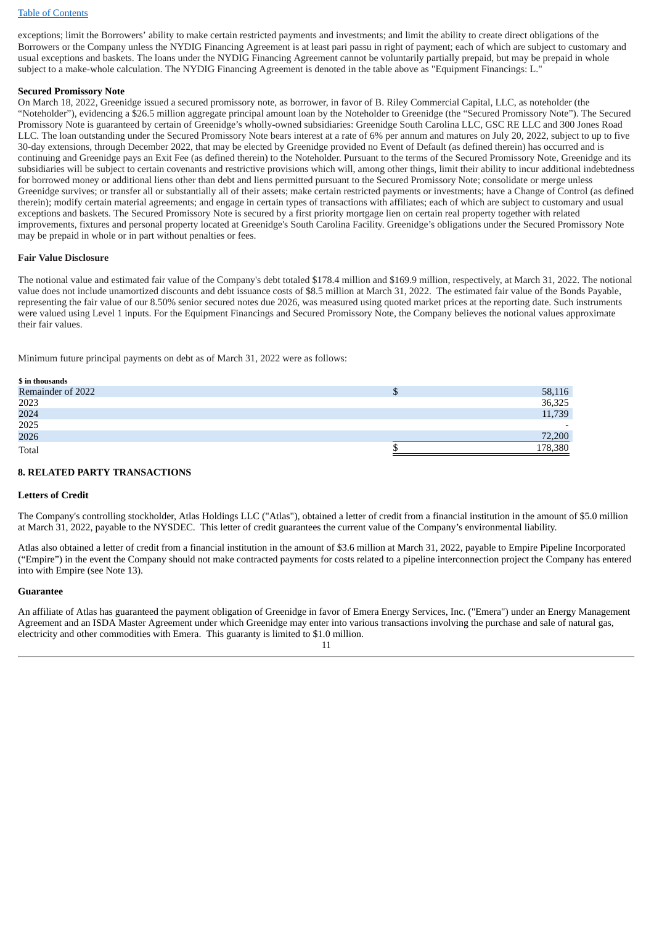exceptions; limit the Borrowers' ability to make certain restricted payments and investments; and limit the ability to create direct obligations of the Borrowers or the Company unless the NYDIG Financing Agreement is at least pari passu in right of payment; each of which are subject to customary and usual exceptions and baskets. The loans under the NYDIG Financing Agreement cannot be voluntarily partially prepaid, but may be prepaid in whole subject to a make-whole calculation. The NYDIG Financing Agreement is denoted in the table above as "Equipment Financings: L."

#### **Secured Promissory Note**

On March 18, 2022, Greenidge issued a secured promissory note, as borrower, in favor of B. Riley Commercial Capital, LLC, as noteholder (the "Noteholder"), evidencing a \$26.5 million aggregate principal amount loan by the Noteholder to Greenidge (the "Secured Promissory Note"). The Secured Promissory Note is guaranteed by certain of Greenidge's wholly-owned subsidiaries: Greenidge South Carolina LLC, GSC RE LLC and 300 Jones Road LLC. The loan outstanding under the Secured Promissory Note bears interest at a rate of 6% per annum and matures on July 20, 2022, subject to up to five 30-day extensions, through December 2022, that may be elected by Greenidge provided no Event of Default (as defined therein) has occurred and is continuing and Greenidge pays an Exit Fee (as defined therein) to the Noteholder. Pursuant to the terms of the Secured Promissory Note, Greenidge and its subsidiaries will be subject to certain covenants and restrictive provisions which will, among other things, limit their ability to incur additional indebtedness for borrowed money or additional liens other than debt and liens permitted pursuant to the Secured Promissory Note; consolidate or merge unless Greenidge survives; or transfer all or substantially all of their assets; make certain restricted payments or investments; have a Change of Control (as defined therein); modify certain material agreements; and engage in certain types of transactions with affiliates; each of which are subject to customary and usual exceptions and baskets. The Secured Promissory Note is secured by a first priority mortgage lien on certain real property together with related improvements, fixtures and personal property located at Greenidge's South Carolina Facility. Greenidge's obligations under the Secured Promissory Note may be prepaid in whole or in part without penalties or fees.

#### **Fair Value Disclosure**

The notional value and estimated fair value of the Company's debt totaled \$178.4 million and \$169.9 million, respectively, at March 31, 2022. The notional value does not include unamortized discounts and debt issuance costs of \$8.5 million at March 31, 2022. The estimated fair value of the Bonds Payable, representing the fair value of our 8.50% senior secured notes due 2026, was measured using quoted market prices at the reporting date. Such instruments were valued using Level 1 inputs. For the Equipment Financings and Secured Promissory Note, the Company believes the notional values approximate their fair values.

Minimum future principal payments on debt as of March 31, 2022 were as follows:

| \$ in thousands   |                          |
|-------------------|--------------------------|
| Remainder of 2022 | 58,116                   |
| 2023              | 36,325                   |
| 2024              | 11,739                   |
| 2025              | $\overline{\phantom{0}}$ |
| 2026              | 72,200                   |
| Total             | 178,380                  |

#### **8. RELATED PARTY TRANSACTIONS**

#### **Letters of Credit**

The Company's controlling stockholder, Atlas Holdings LLC ("Atlas"), obtained a letter of credit from a financial institution in the amount of \$5.0 million at March 31, 2022, payable to the NYSDEC. This letter of credit guarantees the current value of the Company's environmental liability.

Atlas also obtained a letter of credit from a financial institution in the amount of \$3.6 million at March 31, 2022, payable to Empire Pipeline Incorporated ("Empire") in the event the Company should not make contracted payments for costs related to a pipeline interconnection project the Company has entered into with Empire (see Note 13).

#### **Guarantee**

An affiliate of Atlas has guaranteed the payment obligation of Greenidge in favor of Emera Energy Services, Inc. ("Emera") under an Energy Management Agreement and an ISDA Master Agreement under which Greenidge may enter into various transactions involving the purchase and sale of natural gas, electricity and other commodities with Emera. This guaranty is limited to \$1.0 million.

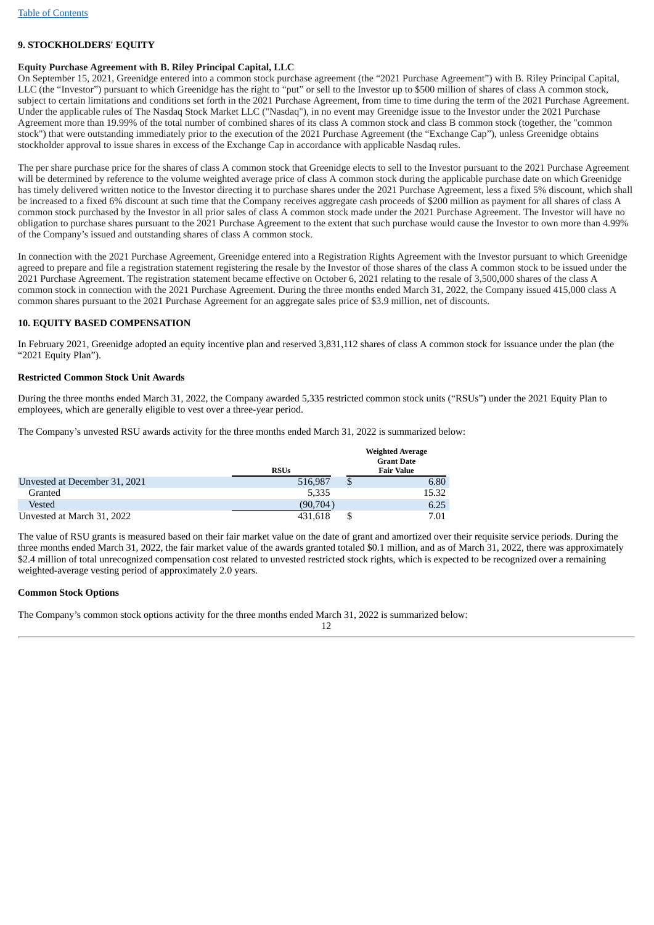## **9. STOCKHOLDERS' EQUITY**

## **Equity Purchase Agreement with B. Riley Principal Capital, LLC**

On September 15, 2021, Greenidge entered into a common stock purchase agreement (the "2021 Purchase Agreement") with B. Riley Principal Capital, LLC (the "Investor") pursuant to which Greenidge has the right to "put" or sell to the Investor up to \$500 million of shares of class A common stock, subject to certain limitations and conditions set forth in the 2021 Purchase Agreement, from time to time during the term of the 2021 Purchase Agreement. Under the applicable rules of The Nasdaq Stock Market LLC ("Nasdaq"), in no event may Greenidge issue to the Investor under the 2021 Purchase Agreement more than 19.99% of the total number of combined shares of its class A common stock and class B common stock (together, the "common stock") that were outstanding immediately prior to the execution of the 2021 Purchase Agreement (the "Exchange Cap"), unless Greenidge obtains stockholder approval to issue shares in excess of the Exchange Cap in accordance with applicable Nasdaq rules.

The per share purchase price for the shares of class A common stock that Greenidge elects to sell to the Investor pursuant to the 2021 Purchase Agreement will be determined by reference to the volume weighted average price of class A common stock during the applicable purchase date on which Greenidge has timely delivered written notice to the Investor directing it to purchase shares under the 2021 Purchase Agreement, less a fixed 5% discount, which shall be increased to a fixed 6% discount at such time that the Company receives aggregate cash proceeds of \$200 million as payment for all shares of class A common stock purchased by the Investor in all prior sales of class A common stock made under the 2021 Purchase Agreement. The Investor will have no obligation to purchase shares pursuant to the 2021 Purchase Agreement to the extent that such purchase would cause the Investor to own more than 4.99% of the Company's issued and outstanding shares of class A common stock.

In connection with the 2021 Purchase Agreement, Greenidge entered into a Registration Rights Agreement with the Investor pursuant to which Greenidge agreed to prepare and file a registration statement registering the resale by the Investor of those shares of the class A common stock to be issued under the 2021 Purchase Agreement. The registration statement became effective on October 6, 2021 relating to the resale of 3,500,000 shares of the class A common stock in connection with the 2021 Purchase Agreement. During the three months ended March 31, 2022, the Company issued 415,000 class A common shares pursuant to the 2021 Purchase Agreement for an aggregate sales price of \$3.9 million, net of discounts.

## **10. EQUITY BASED COMPENSATION**

In February 2021, Greenidge adopted an equity incentive plan and reserved 3,831,112 shares of class A common stock for issuance under the plan (the "2021 Equity Plan").

## **Restricted Common Stock Unit Awards**

During the three months ended March 31, 2022, the Company awarded 5,335 restricted common stock units ("RSUs") under the 2021 Equity Plan to employees, which are generally eligible to vest over a three-year period.

The Company's unvested RSU awards activity for the three months ended March 31, 2022 is summarized below:

|                               | <b>RSUs</b> | <b>Weighted Average</b><br><b>Grant Date</b><br><b>Fair Value</b> |       |  |
|-------------------------------|-------------|-------------------------------------------------------------------|-------|--|
| Unvested at December 31, 2021 | 516,987     | Œ                                                                 | 6.80  |  |
| Granted                       | 5,335       |                                                                   | 15.32 |  |
| Vested                        | (90,704)    |                                                                   | 6.25  |  |
| Unvested at March 31, 2022    | 431,618     | \$                                                                | 7.01  |  |

The value of RSU grants is measured based on their fair market value on the date of grant and amortized over their requisite service periods. During the three months ended March 31, 2022, the fair market value of the awards granted totaled \$0.1 million, and as of March 31, 2022, there was approximately \$2.4 million of total unrecognized compensation cost related to unvested restricted stock rights, which is expected to be recognized over a remaining weighted-average vesting period of approximately 2.0 years.

## **Common Stock Options**

The Company's common stock options activity for the three months ended March 31, 2022 is summarized below: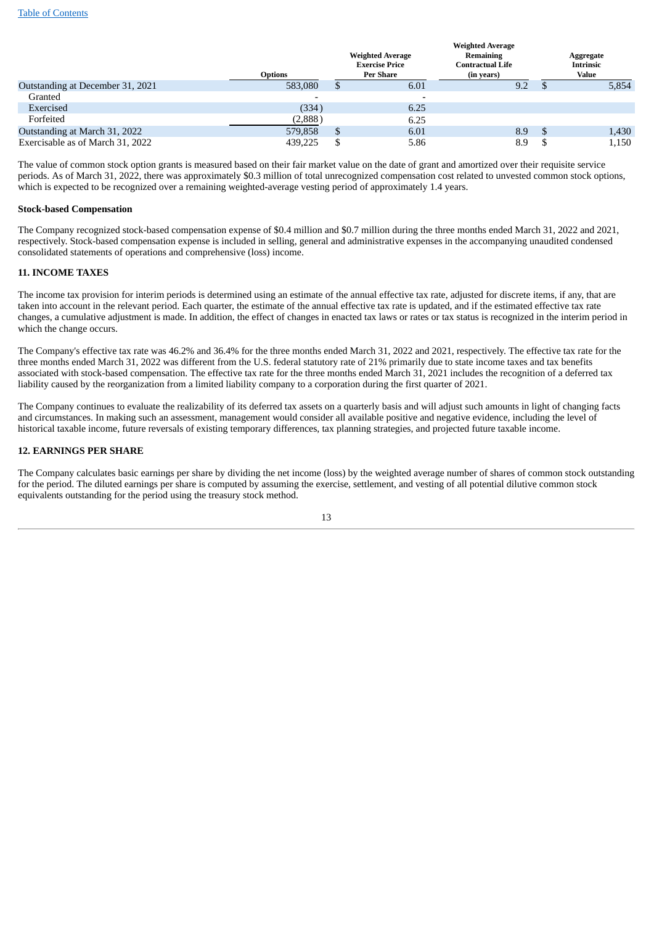|                                  | <b>Options</b>           | <b>Weighted Average</b><br><b>Exercise Price</b><br>Per Share | <b>Weighted Average</b><br>Remaining<br>Contractual Life<br>(in years) | Aggregate<br><b>Intrinsic</b><br>Value |
|----------------------------------|--------------------------|---------------------------------------------------------------|------------------------------------------------------------------------|----------------------------------------|
| Outstanding at December 31, 2021 | 583,080                  | 6.01                                                          | 9.2                                                                    | 5,854                                  |
| Granted                          | $\overline{\phantom{0}}$ | -                                                             |                                                                        |                                        |
| Exercised                        | (334)                    | 6.25                                                          |                                                                        |                                        |
| Forfeited                        | (2,888)                  | 6.25                                                          |                                                                        |                                        |
| Outstanding at March 31, 2022    | 579,858                  | 6.01                                                          | 8.9                                                                    | 1,430                                  |
| Exercisable as of March 31, 2022 | 439,225                  | 5.86                                                          | 8.9                                                                    | 1,150                                  |

The value of common stock option grants is measured based on their fair market value on the date of grant and amortized over their requisite service periods. As of March 31, 2022, there was approximately \$0.3 million of total unrecognized compensation cost related to unvested common stock options, which is expected to be recognized over a remaining weighted-average vesting period of approximately 1.4 years.

#### **Stock-based Compensation**

The Company recognized stock-based compensation expense of \$0.4 million and \$0.7 million during the three months ended March 31, 2022 and 2021, respectively. Stock-based compensation expense is included in selling, general and administrative expenses in the accompanying unaudited condensed consolidated statements of operations and comprehensive (loss) income.

## **11. INCOME TAXES**

The income tax provision for interim periods is determined using an estimate of the annual effective tax rate, adjusted for discrete items, if any, that are taken into account in the relevant period. Each quarter, the estimate of the annual effective tax rate is updated, and if the estimated effective tax rate changes, a cumulative adjustment is made. In addition, the effect of changes in enacted tax laws or rates or tax status is recognized in the interim period in which the change occurs.

The Company's effective tax rate was 46.2% and 36.4% for the three months ended March 31, 2022 and 2021, respectively. The effective tax rate for the three months ended March 31, 2022 was different from the U.S. federal statutory rate of 21% primarily due to state income taxes and tax benefits associated with stock-based compensation. The effective tax rate for the three months ended March 31, 2021 includes the recognition of a deferred tax liability caused by the reorganization from a limited liability company to a corporation during the first quarter of 2021.

The Company continues to evaluate the realizability of its deferred tax assets on a quarterly basis and will adjust such amounts in light of changing facts and circumstances. In making such an assessment, management would consider all available positive and negative evidence, including the level of historical taxable income, future reversals of existing temporary differences, tax planning strategies, and projected future taxable income.

#### **12. EARNINGS PER SHARE**

The Company calculates basic earnings per share by dividing the net income (loss) by the weighted average number of shares of common stock outstanding for the period. The diluted earnings per share is computed by assuming the exercise, settlement, and vesting of all potential dilutive common stock equivalents outstanding for the period using the treasury stock method.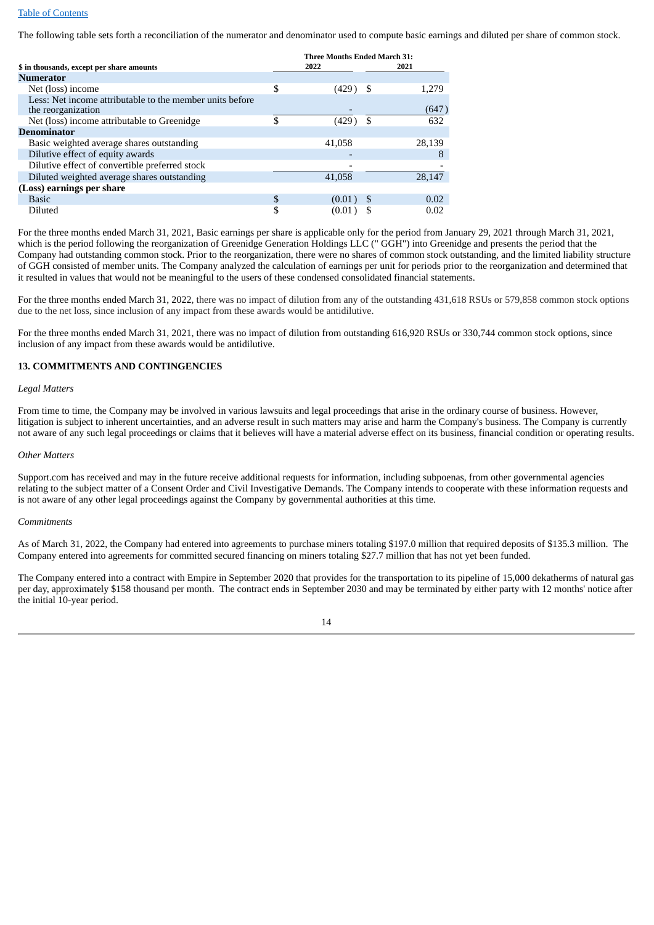The following table sets forth a reconciliation of the numerator and denominator used to compute basic earnings and diluted per share of common stock.

|                                                                                |    | Three Months Ended March 31: |    |        |
|--------------------------------------------------------------------------------|----|------------------------------|----|--------|
| \$ in thousands, except per share amounts                                      |    | 2022                         |    | 2021   |
| <b>Numerator</b>                                                               |    |                              |    |        |
| Net (loss) income                                                              | \$ | (429)                        | -S | 1,279  |
| Less: Net income attributable to the member units before<br>the reorganization |    |                              |    | (647)  |
| Net (loss) income attributable to Greenidge                                    | \$ | (429)                        |    | 632    |
| <b>Denominator</b>                                                             |    |                              |    |        |
| Basic weighted average shares outstanding                                      |    | 41,058                       |    | 28,139 |
| Dilutive effect of equity awards                                               |    |                              |    | 8      |
| Dilutive effect of convertible preferred stock                                 |    |                              |    |        |
| Diluted weighted average shares outstanding                                    |    | 41,058                       |    | 28.147 |
| (Loss) earnings per share                                                      |    |                              |    |        |
| <b>Basic</b>                                                                   | \$ | $(0.01)$ \$                  |    | 0.02   |
| Diluted                                                                        | \$ | (0.01                        |    | 0.02   |

For the three months ended March 31, 2021, Basic earnings per share is applicable only for the period from January 29, 2021 through March 31, 2021, which is the period following the reorganization of Greenidge Generation Holdings LLC (" GGH") into Greenidge and presents the period that the Company had outstanding common stock. Prior to the reorganization, there were no shares of common stock outstanding, and the limited liability structure of GGH consisted of member units. The Company analyzed the calculation of earnings per unit for periods prior to the reorganization and determined that it resulted in values that would not be meaningful to the users of these condensed consolidated financial statements.

For the three months ended March 31, 2022, there was no impact of dilution from any of the outstanding 431,618 RSUs or 579,858 common stock options due to the net loss, since inclusion of any impact from these awards would be antidilutive.

For the three months ended March 31, 2021, there was no impact of dilution from outstanding 616,920 RSUs or 330,744 common stock options, since inclusion of any impact from these awards would be antidilutive.

#### **13. COMMITMENTS AND CONTINGENCIES**

#### *Legal Matters*

From time to time, the Company may be involved in various lawsuits and legal proceedings that arise in the ordinary course of business. However, litigation is subject to inherent uncertainties, and an adverse result in such matters may arise and harm the Company's business. The Company is currently not aware of any such legal proceedings or claims that it believes will have a material adverse effect on its business, financial condition or operating results.

#### *Other Matters*

Support.com has received and may in the future receive additional requests for information, including subpoenas, from other governmental agencies relating to the subject matter of a Consent Order and Civil Investigative Demands. The Company intends to cooperate with these information requests and is not aware of any other legal proceedings against the Company by governmental authorities at this time.

#### *Commitments*

As of March 31, 2022, the Company had entered into agreements to purchase miners totaling \$197.0 million that required deposits of \$135.3 million. The Company entered into agreements for committed secured financing on miners totaling \$27.7 million that has not yet been funded.

The Company entered into a contract with Empire in September 2020 that provides for the transportation to its pipeline of 15,000 dekatherms of natural gas per day, approximately \$158 thousand per month. The contract ends in September 2030 and may be terminated by either party with 12 months' notice after the initial 10-year period.

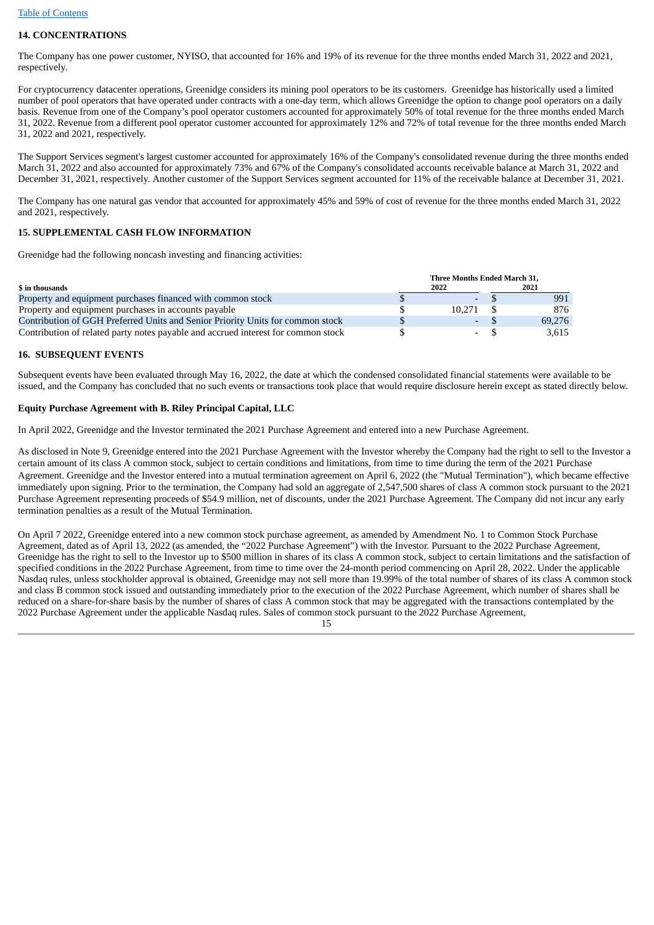#### **14. CONCENTRATIONS**

The Company has one power customer, NYISO, that accounted for 16% and 19% of its revenue for the three months ended March 31, 2022 and 2021, respectively.

For cryptocurrency datacenter operations, Greenidge considers its mining pool operators to be its customers. Greenidge has historically used a limited number of pool operators that have operated under contracts with a one-day term, which allows Greenidge the option to change pool operators on a daily basis. Revenue from one of the Company's pool operator customers accounted for approximately 50% of total revenue for the three months ended March 31, 2022. Revenue from a different pool operator customer accounted for approximately 12% and 72% of total revenue for the three months ended March 31, 2022 and 2021, respectively.

The Support Services segment's largest customer accounted for approximately 16% of the Company's consolidated revenue during the three months ended March 31, 2022 and also accounted for approximately 73% and 67% of the Company's consolidated accounts receivable balance at March 31, 2022 and December 31, 2021, respectively. Another customer of the Support Services segment accounted for 11% of the receivable balance at December 31, 2021.

The Company has one natural gas vendor that accounted for approximately 45% and 59% of cost of revenue for the three months ended March 31, 2022 and 2021, respectively.

#### **15. SUPPLEMENTAL CASH FLOW INFORMATION**

Greenidge had the following noncash investing and financing activities:

|                                                                                   | <b>Three Months Ended March 31.</b> |  |        |
|-----------------------------------------------------------------------------------|-------------------------------------|--|--------|
| \$ in thousands                                                                   | 2022                                |  | 2021   |
| Property and equipment purchases financed with common stock                       |                                     |  | 991    |
| Property and equipment purchases in accounts payable                              | 10.271                              |  | 876    |
| Contribution of GGH Preferred Units and Senior Priority Units for common stock    |                                     |  | 69.276 |
| Contribution of related party notes payable and accrued interest for common stock |                                     |  | 3.615  |

#### **16. SUBSEQUENT EVENTS**

Subsequent events have been evaluated through May 16, 2022, the date at which the condensed consolidated financial statements were available to be issued, and the Company has concluded that no such events or transactions took place that would require disclosure herein except as stated directly below.

#### **Equity Purchase Agreement with B. Riley Principal Capital, LLC**

In April 2022, Greenidge and the Investor terminated the 2021 Purchase Agreement and entered into a new Purchase Agreement.

As disclosed in Note 9, Greenidge entered into the 2021 Purchase Agreement with the Investor whereby the Company had the right to sell to the Investor a certain amount of its class A common stock, subject to certain conditions and limitations, from time to time during the term of the 2021 Purchase Agreement. Greenidge and the Investor entered into a mutual termination agreement on April 6, 2022 (the "Mutual Termination"), which became effective immediately upon signing. Prior to the termination, the Company had sold an aggregate of 2,547,500 shares of class A common stock pursuant to the 2021 Purchase Agreement representing proceeds of \$54.9 million, net of discounts, under the 2021 Purchase Agreement. The Company did not incur any early termination penalties as a result of the Mutual Termination.

On April 7 2022, Greenidge entered into a new common stock purchase agreement, as amended by Amendment No. 1 to Common Stock Purchase Agreement, dated as of April 13, 2022 (as amended, the "2022 Purchase Agreement") with the Investor. Pursuant to the 2022 Purchase Agreement, Greenidge has the right to sell to the Investor up to \$500 million in shares of its class A common stock, subject to certain limitations and the satisfaction of specified conditions in the 2022 Purchase Agreement, from time to time over the 24-month period commencing on April 28, 2022. Under the applicable Nasdaq rules, unless stockholder approval is obtained, Greenidge may not sell more than 19.99% of the total number of shares of its class A common stock and class B common stock issued and outstanding immediately prior to the execution of the 2022 Purchase Agreement, which number of shares shall be reduced on a share-for-share basis by the number of shares of class A common stock that may be aggregated with the transactions contemplated by the 2022 Purchase Agreement under the applicable Nasdaq rules. Sales of common stock pursuant to the 2022 Purchase Agreement,

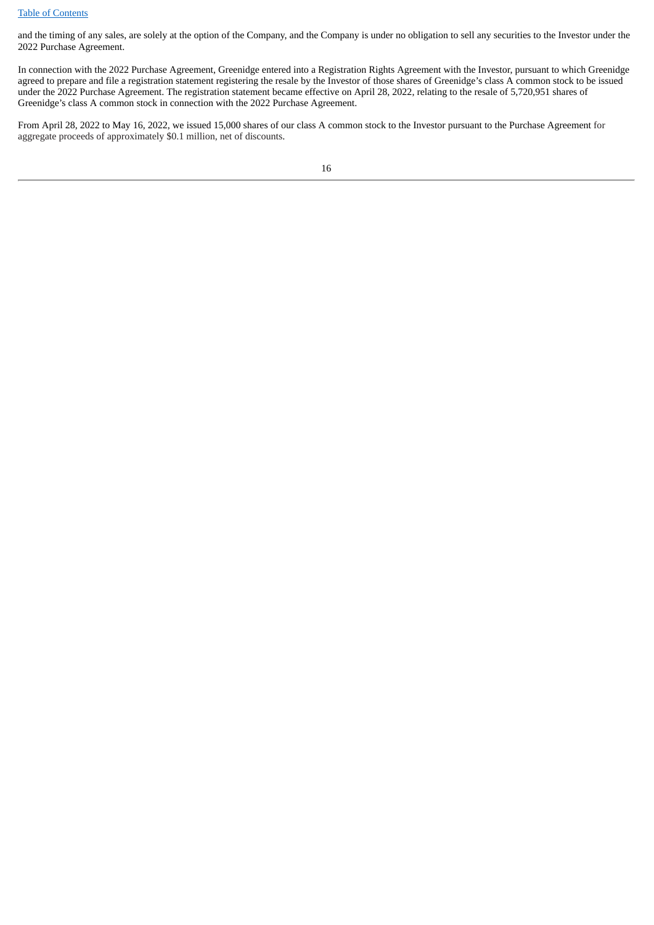and the timing of any sales, are solely at the option of the Company, and the Company is under no obligation to sell any securities to the Investor under the 2022 Purchase Agreement.

In connection with the 2022 Purchase Agreement, Greenidge entered into a Registration Rights Agreement with the Investor, pursuant to which Greenidge agreed to prepare and file a registration statement registering the resale by the Investor of those shares of Greenidge's class A common stock to be issued under the 2022 Purchase Agreement. The registration statement became effective on April 28, 2022, relating to the resale of 5,720,951 shares of Greenidge's class A common stock in connection with the 2022 Purchase Agreement.

From April 28, 2022 to May 16, 2022, we issued 15,000 shares of our class A common stock to the Investor pursuant to the Purchase Agreement for aggregate proceeds of approximately \$0.1 million, net of discounts.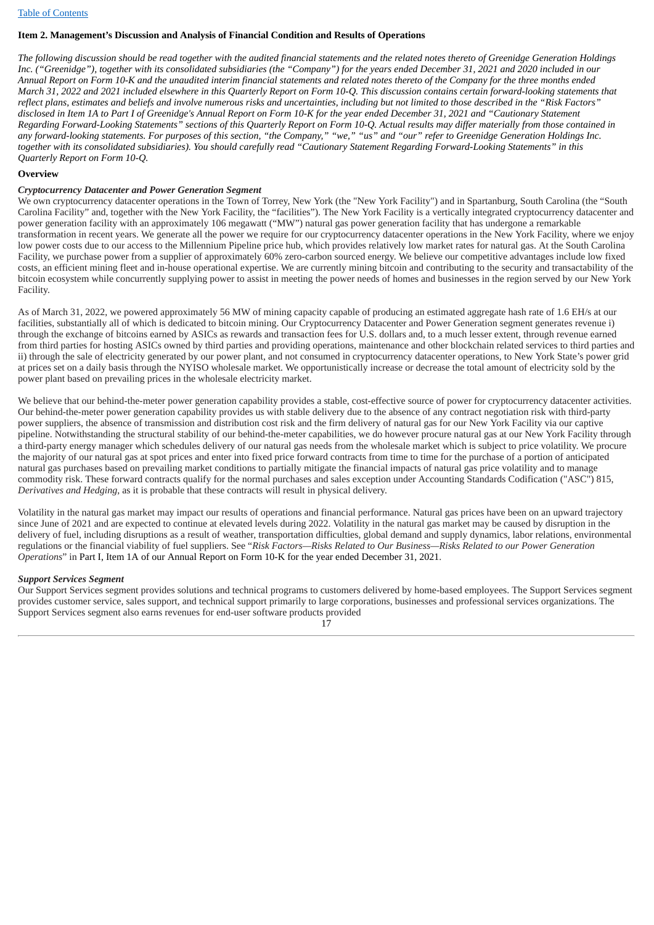## <span id="page-17-0"></span>**Item 2. Management's Discussion and Analysis of Financial Condition and Results of Operations**

The following discussion should be read together with the audited financial statements and the related notes thereto of Greenidge Generation Holdings Inc. ("Greenidge"), together with its consolidated subsidiaries (the "Company") for the years ended December 31, 2021 and 2020 included in our Annual Report on Form 10-K and the unaudited interim financial statements and related notes thereto of the Company for the three months ended March 31, 2022 and 2021 included elsewhere in this Quarterly Report on Form 10-Q. This discussion contains certain forward-looking statements that reflect plans, estimates and beliefs and involve numerous risks and uncertainties, including but not limited to those described in the "Risk Factors" disclosed in Item 1A to Part I of Greenidge's Annual Report on Form 10-K for the year ended December 31, 2021 and "Cautionary Statement Regarding Forward-Looking Statements" sections of this Quarterly Report on Form 10-Q. Actual results may differ materially from those contained in any forward-looking statements. For purposes of this section, "the Company," "we," "us" and "our" refer to Greenidge Generation Holdings Inc. together with its consolidated subsidiaries). You should carefully read "Cautionary Statement Regarding Forward-Looking Statements" in this *Quarterly Report on Form 10-Q.*

#### **Overview**

#### *Cryptocurrency Datacenter and Power Generation Segment*

We own cryptocurrency datacenter operations in the Town of Torrey, New York (the "New York Facility") and in Spartanburg, South Carolina (the "South Carolina Facility" and, together with the New York Facility, the "facilities"). The New York Facility is a vertically integrated cryptocurrency datacenter and power generation facility with an approximately 106 megawatt ("MW") natural gas power generation facility that has undergone a remarkable transformation in recent years. We generate all the power we require for our cryptocurrency datacenter operations in the New York Facility, where we enjoy low power costs due to our access to the Millennium Pipeline price hub, which provides relatively low market rates for natural gas. At the South Carolina Facility, we purchase power from a supplier of approximately 60% zero-carbon sourced energy. We believe our competitive advantages include low fixed costs, an efficient mining fleet and in-house operational expertise. We are currently mining bitcoin and contributing to the security and transactability of the bitcoin ecosystem while concurrently supplying power to assist in meeting the power needs of homes and businesses in the region served by our New York Facility.

As of March 31, 2022, we powered approximately 56 MW of mining capacity capable of producing an estimated aggregate hash rate of 1.6 EH/s at our facilities, substantially all of which is dedicated to bitcoin mining. Our Cryptocurrency Datacenter and Power Generation segment generates revenue i) through the exchange of bitcoins earned by ASICs as rewards and transaction fees for U.S. dollars and, to a much lesser extent, through revenue earned from third parties for hosting ASICs owned by third parties and providing operations, maintenance and other blockchain related services to third parties and ii) through the sale of electricity generated by our power plant, and not consumed in cryptocurrency datacenter operations, to New York State's power grid at prices set on a daily basis through the NYISO wholesale market. We opportunistically increase or decrease the total amount of electricity sold by the power plant based on prevailing prices in the wholesale electricity market.

We believe that our behind-the-meter power generation capability provides a stable, cost-effective source of power for cryptocurrency datacenter activities. Our behind-the-meter power generation capability provides us with stable delivery due to the absence of any contract negotiation risk with third-party power suppliers, the absence of transmission and distribution cost risk and the firm delivery of natural gas for our New York Facility via our captive pipeline. Notwithstanding the structural stability of our behind-the-meter capabilities, we do however procure natural gas at our New York Facility through a third-party energy manager which schedules delivery of our natural gas needs from the wholesale market which is subject to price volatility. We procure the majority of our natural gas at spot prices and enter into fixed price forward contracts from time to time for the purchase of a portion of anticipated natural gas purchases based on prevailing market conditions to partially mitigate the financial impacts of natural gas price volatility and to manage commodity risk. These forward contracts qualify for the normal purchases and sales exception under Accounting Standards Codification ("ASC") 815, *Derivatives and Hedging*, as it is probable that these contracts will result in physical delivery.

Volatility in the natural gas market may impact our results of operations and financial performance. Natural gas prices have been on an upward trajectory since June of 2021 and are expected to continue at elevated levels during 2022. Volatility in the natural gas market may be caused by disruption in the delivery of fuel, including disruptions as a result of weather, transportation difficulties, global demand and supply dynamics, labor relations, environmental regulations or the financial viability of fuel suppliers. See "*Risk Factors—Risks Related to Our Business—Risks Related to our Power Generation Operations*" in Part I, Item 1A of our Annual Report on Form 10-K for the year ended December 31, 2021.

#### *Support Services Segment*

Our Support Services segment provides solutions and technical programs to customers delivered by home-based employees. The Support Services segment provides customer service, sales support, and technical support primarily to large corporations, businesses and professional services organizations. The Support Services segment also earns revenues for end-user software products provided

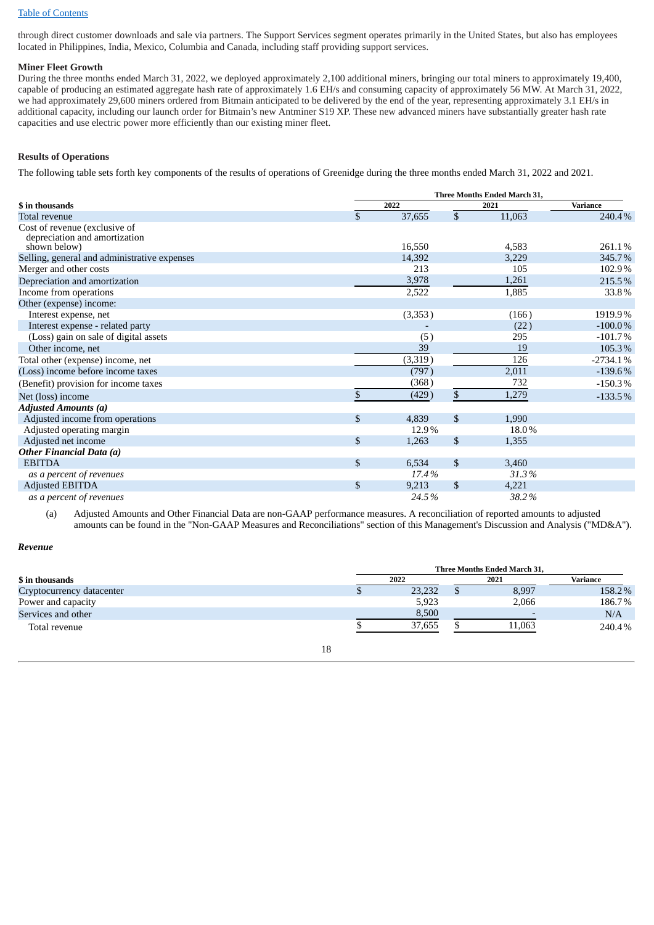through direct customer downloads and sale via partners. The Support Services segment operates primarily in the United States, but also has employees located in Philippines, India, Mexico, Columbia and Canada, including staff providing support services.

#### **Miner Fleet Growth**

During the three months ended March 31, 2022, we deployed approximately 2,100 additional miners, bringing our total miners to approximately 19,400, capable of producing an estimated aggregate hash rate of approximately 1.6 EH/s and consuming capacity of approximately 56 MW. At March 31, 2022, we had approximately 29,600 miners ordered from Bitmain anticipated to be delivered by the end of the year, representing approximately 3.1 EH/s in additional capacity, including our launch order for Bitmain's new Antminer S19 XP. These new advanced miners have substantially greater hash rate capacities and use electric power more efficiently than our existing miner fleet.

#### **Results of Operations**

The following table sets forth key components of the results of operations of Greenidge during the three months ended March 31, 2022 and 2021.

|                                                                | Three Months Ended March 31, |    |        |            |  |
|----------------------------------------------------------------|------------------------------|----|--------|------------|--|
| \$ in thousands                                                | 2022                         |    | 2021   | Variance   |  |
| Total revenue                                                  | \$<br>37,655                 | \$ | 11,063 | 240.4%     |  |
| Cost of revenue (exclusive of<br>depreciation and amortization |                              |    |        |            |  |
| shown below)                                                   | 16,550                       |    | 4,583  | 261.1%     |  |
| Selling, general and administrative expenses                   | 14,392                       |    | 3,229  | 345.7%     |  |
| Merger and other costs                                         | 213                          |    | 105    | 102.9%     |  |
| Depreciation and amortization                                  | 3,978                        |    | 1,261  | 215.5%     |  |
| Income from operations                                         | 2,522                        |    | 1,885  | 33.8%      |  |
| Other (expense) income:                                        |                              |    |        |            |  |
| Interest expense, net                                          | (3,353)                      |    | (166)  | 1919.9%    |  |
| Interest expense - related party                               |                              |    | (22)   | $-100.0%$  |  |
| (Loss) gain on sale of digital assets                          | (5)                          |    | 295    | $-101.7%$  |  |
| Other income, net                                              | 39                           |    | 19     | 105.3%     |  |
| Total other (expense) income, net                              | (3, 319)                     |    | 126    | $-2734.1%$ |  |
| (Loss) income before income taxes                              | (797)                        |    | 2,011  | $-139.6%$  |  |
| (Benefit) provision for income taxes                           | (368)                        |    | 732    | $-150.3%$  |  |
| Net (loss) income                                              | \$<br>(429)                  | \$ | 1,279  | $-133.5%$  |  |
| <b>Adjusted Amounts (a)</b>                                    |                              |    |        |            |  |
| Adjusted income from operations                                | \$<br>4,839                  | \$ | 1,990  |            |  |
| Adjusted operating margin                                      | 12.9%                        |    | 18.0%  |            |  |
| Adjusted net income                                            | \$<br>1,263                  | \$ | 1,355  |            |  |
| <b>Other Financial Data (a)</b>                                |                              |    |        |            |  |
| <b>EBITDA</b>                                                  | \$<br>6,534                  | \$ | 3,460  |            |  |
| as a percent of revenues                                       | 17.4%                        |    | 31.3%  |            |  |
| <b>Adjusted EBITDA</b>                                         | \$<br>9,213                  | \$ | 4,221  |            |  |
| as a percent of revenues                                       | 24.5%                        |    | 38.2%  |            |  |

(a) Adjusted Amounts and Other Financial Data are non-GAAP performance measures. A reconciliation of reported amounts to adjusted amounts can be found in the "Non-GAAP Measures and Reconciliations" section of this Management's Discussion and Analysis ("MD&A").

#### *Revenue*

|                           | <b>Three Months Ended March 31.</b> |        |  |                          |          |  |  |
|---------------------------|-------------------------------------|--------|--|--------------------------|----------|--|--|
| \$ in thousands           |                                     | 2022   |  | 2021                     | Variance |  |  |
| Cryptocurrency datacenter |                                     | 23,232 |  | 8,997                    | 158.2%   |  |  |
| Power and capacity        |                                     | 5,923  |  | 2,066                    | 186.7%   |  |  |
| Services and other        |                                     | 8,500  |  | $\overline{\phantom{a}}$ | N/A      |  |  |
| Total revenue             |                                     | 37,655 |  | 11.063                   | 240.4%   |  |  |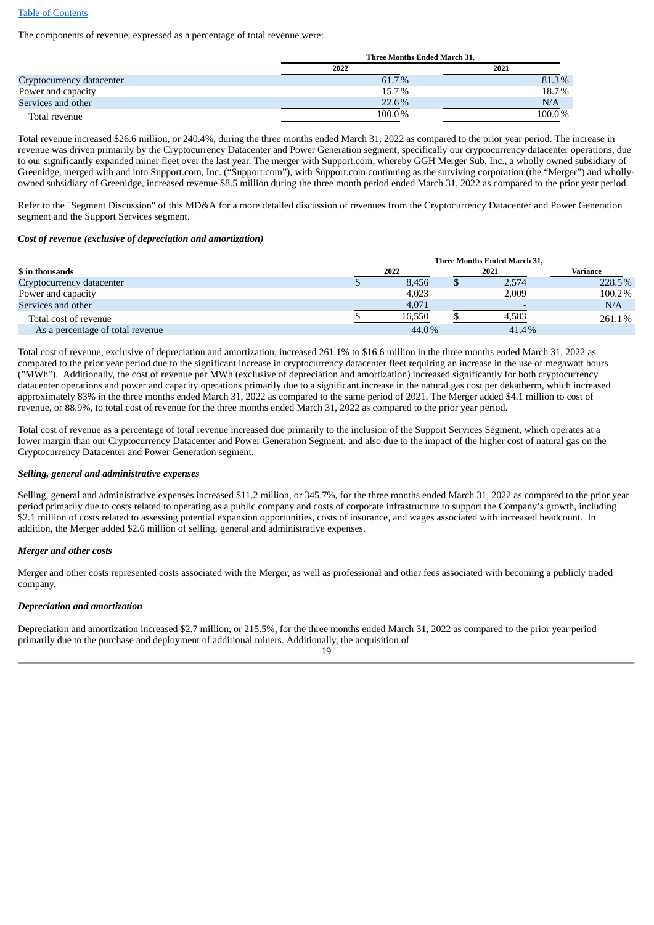The components of revenue, expressed as a percentage of total revenue were:

|                           |        | <b>Three Months Ended March 31.</b> |  |  |  |  |
|---------------------------|--------|-------------------------------------|--|--|--|--|
|                           | 2022   | 2021                                |  |  |  |  |
| Cryptocurrency datacenter | 61.7%  | 81.3%                               |  |  |  |  |
| Power and capacity        | 15.7%  | 18.7%                               |  |  |  |  |
| Services and other        | 22.6%  | N/A                                 |  |  |  |  |
| Total revenue             | 100.0% | 100.0%                              |  |  |  |  |

Total revenue increased \$26.6 million, or 240.4%, during the three months ended March 31, 2022 as compared to the prior year period. The increase in revenue was driven primarily by the Cryptocurrency Datacenter and Power Generation segment, specifically our cryptocurrency datacenter operations, due to our significantly expanded miner fleet over the last year. The merger with Support.com, whereby GGH Merger Sub, Inc., a wholly owned subsidiary of Greenidge, merged with and into Support.com, Inc. ("Support.com"), with Support.com continuing as the surviving corporation (the "Merger") and whollyowned subsidiary of Greenidge, increased revenue \$8.5 million during the three month period ended March 31, 2022 as compared to the prior year period.

Refer to the "Segment Discussion" of this MD&A for a more detailed discussion of revenues from the Cryptocurrency Datacenter and Power Generation segment and the Support Services segment.

#### *Cost of revenue (exclusive of depreciation and amortization)*

|                                  | <b>Three Months Ended March 31.</b> |        |  |       |          |  |  |
|----------------------------------|-------------------------------------|--------|--|-------|----------|--|--|
| \$ in thousands                  |                                     | 2022   |  | 2021  | Variance |  |  |
| Cryptocurrency datacenter        |                                     | 8.456  |  | 2,574 | 228.5%   |  |  |
| Power and capacity               |                                     | 4.023  |  | 2,009 | 100.2%   |  |  |
| Services and other               |                                     | 4,071  |  |       | N/A      |  |  |
| Total cost of revenue            |                                     | 16,550 |  | 4,583 | 261.1%   |  |  |
| As a percentage of total revenue |                                     | 44.0%  |  | 41.4% |          |  |  |

Total cost of revenue, exclusive of depreciation and amortization, increased 261.1% to \$16.6 million in the three months ended March 31, 2022 as compared to the prior year period due to the significant increase in cryptocurrency datacenter fleet requiring an increase in the use of megawatt hours ("MWh"). Additionally, the cost of revenue per MWh (exclusive of depreciation and amortization) increased significantly for both cryptocurrency datacenter operations and power and capacity operations primarily due to a significant increase in the natural gas cost per dekatherm, which increased approximately 83% in the three months ended March 31, 2022 as compared to the same period of 2021. The Merger added \$4.1 million to cost of revenue, or 88.9%, to total cost of revenue for the three months ended March 31, 2022 as compared to the prior year period.

Total cost of revenue as a percentage of total revenue increased due primarily to the inclusion of the Support Services Segment, which operates at a lower margin than our Cryptocurrency Datacenter and Power Generation Segment, and also due to the impact of the higher cost of natural gas on the Cryptocurrency Datacenter and Power Generation segment.

#### *Selling, general and administrative expenses*

Selling, general and administrative expenses increased \$11.2 million, or 345.7%, for the three months ended March 31, 2022 as compared to the prior year period primarily due to costs related to operating as a public company and costs of corporate infrastructure to support the Company's growth, including \$2.1 million of costs related to assessing potential expansion opportunities, costs of insurance, and wages associated with increased headcount. In addition, the Merger added \$2.6 million of selling, general and administrative expenses.

#### *Merger and other costs*

Merger and other costs represented costs associated with the Merger, as well as professional and other fees associated with becoming a publicly traded company.

#### *Depreciation and amortization*

Depreciation and amortization increased \$2.7 million, or 215.5%, for the three months ended March 31, 2022 as compared to the prior year period primarily due to the purchase and deployment of additional miners. Additionally, the acquisition of

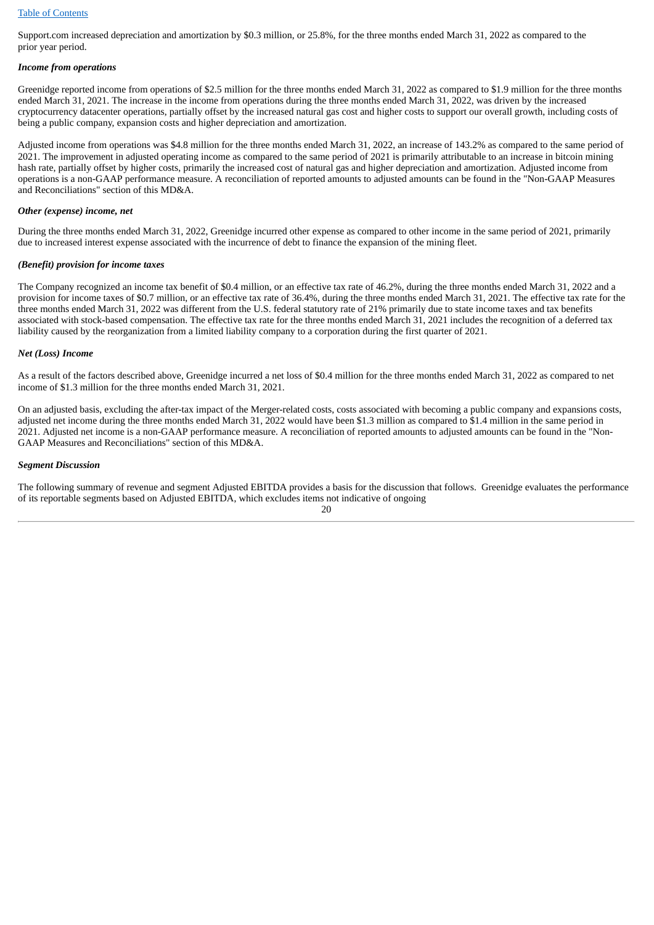Support.com increased depreciation and amortization by \$0.3 million, or 25.8%, for the three months ended March 31, 2022 as compared to the prior year period.

#### *Income from operations*

Greenidge reported income from operations of \$2.5 million for the three months ended March 31, 2022 as compared to \$1.9 million for the three months ended March 31, 2021. The increase in the income from operations during the three months ended March 31, 2022, was driven by the increased cryptocurrency datacenter operations, partially offset by the increased natural gas cost and higher costs to support our overall growth, including costs of being a public company, expansion costs and higher depreciation and amortization.

Adjusted income from operations was \$4.8 million for the three months ended March 31, 2022, an increase of 143.2% as compared to the same period of 2021. The improvement in adjusted operating income as compared to the same period of 2021 is primarily attributable to an increase in bitcoin mining hash rate, partially offset by higher costs, primarily the increased cost of natural gas and higher depreciation and amortization. Adjusted income from operations is a non-GAAP performance measure. A reconciliation of reported amounts to adjusted amounts can be found in the "Non-GAAP Measures and Reconciliations" section of this MD&A.

#### *Other (expense) income, net*

During the three months ended March 31, 2022, Greenidge incurred other expense as compared to other income in the same period of 2021, primarily due to increased interest expense associated with the incurrence of debt to finance the expansion of the mining fleet.

#### *(Benefit) provision for income taxes*

The Company recognized an income tax benefit of \$0.4 million, or an effective tax rate of 46.2%, during the three months ended March 31, 2022 and a provision for income taxes of \$0.7 million, or an effective tax rate of 36.4%, during the three months ended March 31, 2021. The effective tax rate for the three months ended March 31, 2022 was different from the U.S. federal statutory rate of 21% primarily due to state income taxes and tax benefits associated with stock-based compensation. The effective tax rate for the three months ended March 31, 2021 includes the recognition of a deferred tax liability caused by the reorganization from a limited liability company to a corporation during the first quarter of 2021.

#### *Net (Loss) Income*

As a result of the factors described above, Greenidge incurred a net loss of \$0.4 million for the three months ended March 31, 2022 as compared to net income of \$1.3 million for the three months ended March 31, 2021.

On an adjusted basis, excluding the after-tax impact of the Merger-related costs, costs associated with becoming a public company and expansions costs, adjusted net income during the three months ended March 31, 2022 would have been \$1.3 million as compared to \$1.4 million in the same period in 2021. Adjusted net income is a non-GAAP performance measure. A reconciliation of reported amounts to adjusted amounts can be found in the "Non-GAAP Measures and Reconciliations" section of this MD&A.

#### *Segment Discussion*

The following summary of revenue and segment Adjusted EBITDA provides a basis for the discussion that follows. Greenidge evaluates the performance of its reportable segments based on Adjusted EBITDA, which excludes items not indicative of ongoing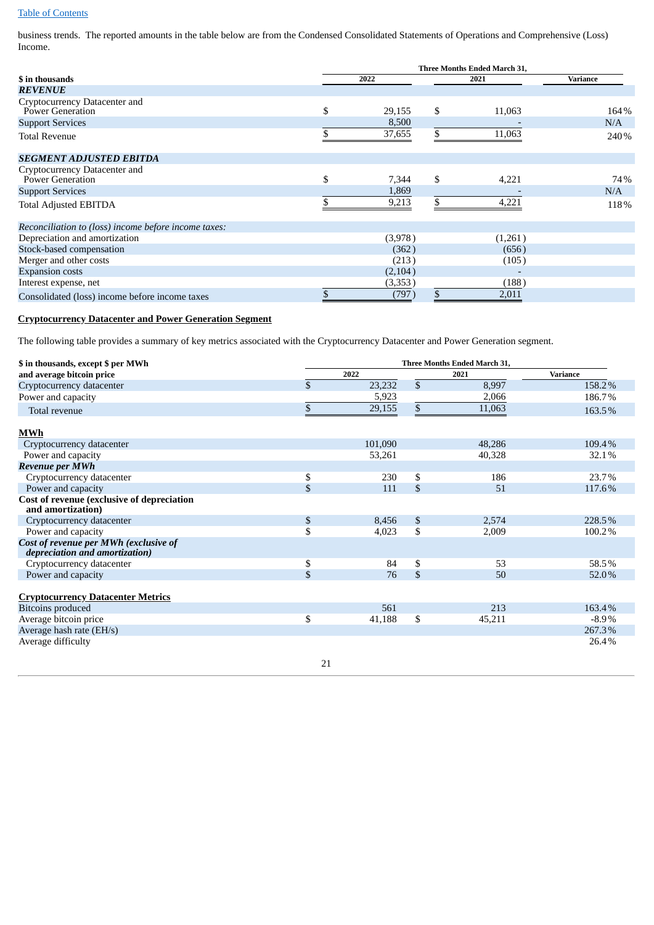business trends. The reported amounts in the table below are from the Condensed Consolidated Statements of Operations and Comprehensive (Loss) Income.

|                                                          | <b>Three Months Ended March 31,</b> |         |     |         |          |  |  |  |
|----------------------------------------------------------|-------------------------------------|---------|-----|---------|----------|--|--|--|
| \$ in thousands                                          |                                     | 2022    |     | 2021    | Variance |  |  |  |
| <b>REVENUE</b>                                           |                                     |         |     |         |          |  |  |  |
| Cryptocurrency Datacenter and<br><b>Power Generation</b> | \$                                  | 29,155  | \$  | 11,063  | 164%     |  |  |  |
| <b>Support Services</b>                                  |                                     | 8,500   |     |         | N/A      |  |  |  |
| <b>Total Revenue</b>                                     |                                     | 37,655  | \$. | 11,063  | 240 %    |  |  |  |
| <b>SEGMENT ADJUSTED EBITDA</b>                           |                                     |         |     |         |          |  |  |  |
| Cryptocurrency Datacenter and<br><b>Power Generation</b> | \$                                  | 7,344   | \$  | 4,221   | 74%      |  |  |  |
| <b>Support Services</b>                                  |                                     | 1,869   |     |         | N/A      |  |  |  |
| <b>Total Adjusted EBITDA</b>                             |                                     | 9,213   |     | 4,221   | 118%     |  |  |  |
| Reconciliation to (loss) income before income taxes:     |                                     |         |     |         |          |  |  |  |
| Depreciation and amortization                            |                                     | (3,978) |     | (1,261) |          |  |  |  |
| Stock-based compensation                                 |                                     | (362)   |     | (656)   |          |  |  |  |
| Merger and other costs                                   |                                     | (213)   |     | (105)   |          |  |  |  |
| <b>Expansion costs</b>                                   |                                     | (2,104) |     |         |          |  |  |  |
| Interest expense, net                                    |                                     | (3,353) |     | (188)   |          |  |  |  |
| Consolidated (loss) income before income taxes           |                                     | (797)   | \$  | 2,011   |          |  |  |  |

## **Cryptocurrency Datacenter and Power Generation Segment**

The following table provides a summary of key metrics associated with the Cryptocurrency Datacenter and Power Generation segment.

| \$ in thousands, except \$ per MWh                                      | Three Months Ended March 31, |         |    |        |                    |
|-------------------------------------------------------------------------|------------------------------|---------|----|--------|--------------------|
| and average bitcoin price                                               | 2022                         |         |    | 2021   | <b>Variance</b>    |
| Cryptocurrency datacenter                                               | $\mathcal{S}$                | 23,232  | \$ | 8,997  | 158.2%             |
| Power and capacity                                                      |                              | 5,923   |    | 2,066  | 186.7%             |
| Total revenue                                                           | \$                           | 29,155  | \$ | 11,063 | 163.5%             |
| MWh                                                                     |                              |         |    |        |                    |
| Cryptocurrency datacenter                                               |                              | 101,090 |    | 48,286 | 109.4%             |
| Power and capacity                                                      |                              | 53,261  |    | 40,328 | 32.1%              |
| Revenue per MWh                                                         |                              |         |    |        |                    |
| Cryptocurrency datacenter                                               | \$                           | 230     | \$ | 186    | 23.7%              |
| Power and capacity                                                      | $\mathbb{S}$                 | 111     | \$ | 51     | 117.6%             |
| Cost of revenue (exclusive of depreciation<br>and amortization)         |                              |         |    |        |                    |
| Cryptocurrency datacenter                                               | \$                           | 8,456   | \$ | 2,574  | 228.5%             |
| Power and capacity                                                      | \$                           | 4,023   | \$ | 2,009  | 100.2%             |
| Cost of revenue per MWh (exclusive of<br>depreciation and amortization) |                              |         |    |        |                    |
| Cryptocurrency datacenter                                               | \$                           | 84      | \$ | 53     | 58.5%              |
| Power and capacity                                                      | \$                           | 76      | \$ | 50     | 52.0%              |
| <b>Cryptocurrency Datacenter Metrics</b>                                |                              |         |    |        |                    |
| <b>Bitcoins produced</b>                                                |                              | 561     |    | 213    | 163.4%             |
| Average bitcoin price<br>Average hash rate (EH/s)                       | \$                           | 41,188  | \$ | 45,211 | $-8.9\%$<br>267.3% |
| Average difficulty                                                      |                              |         |    |        | 26.4%              |
|                                                                         | 21                           |         |    |        |                    |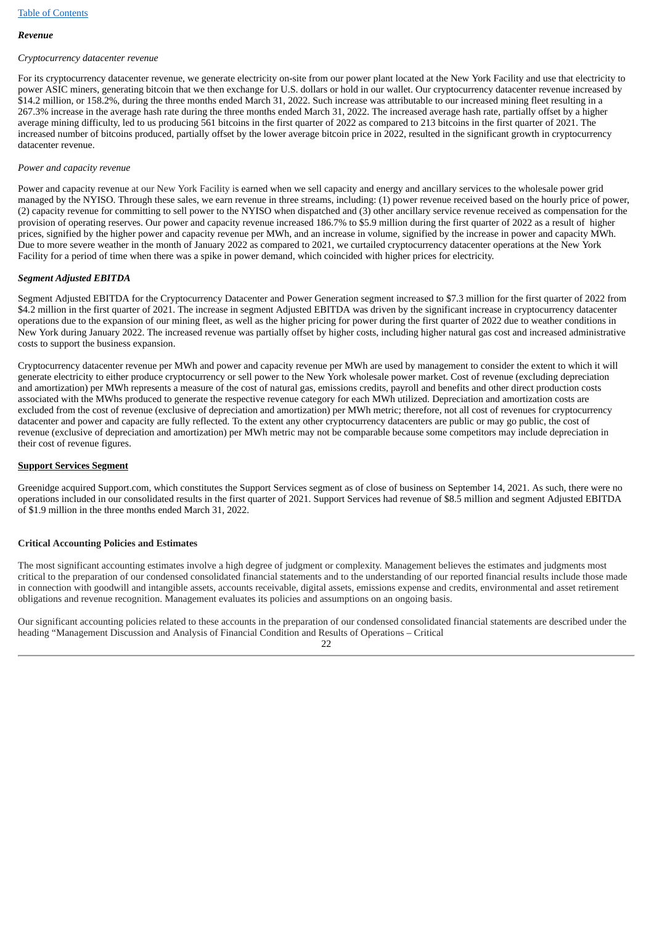#### *Revenue*

#### *Cryptocurrency datacenter revenue*

For its cryptocurrency datacenter revenue, we generate electricity on-site from our power plant located at the New York Facility and use that electricity to power ASIC miners, generating bitcoin that we then exchange for U.S. dollars or hold in our wallet. Our cryptocurrency datacenter revenue increased by \$14.2 million, or 158.2%, during the three months ended March 31, 2022. Such increase was attributable to our increased mining fleet resulting in a 267.3% increase in the average hash rate during the three months ended March 31, 2022. The increased average hash rate, partially offset by a higher average mining difficulty, led to us producing 561 bitcoins in the first quarter of 2022 as compared to 213 bitcoins in the first quarter of 2021. The increased number of bitcoins produced, partially offset by the lower average bitcoin price in 2022, resulted in the significant growth in cryptocurrency datacenter revenue.

#### *Power and capacity revenue*

Power and capacity revenue at our New York Facility is earned when we sell capacity and energy and ancillary services to the wholesale power grid managed by the NYISO. Through these sales, we earn revenue in three streams, including: (1) power revenue received based on the hourly price of power, (2) capacity revenue for committing to sell power to the NYISO when dispatched and (3) other ancillary service revenue received as compensation for the provision of operating reserves. Our power and capacity revenue increased 186.7% to \$5.9 million during the first quarter of 2022 as a result of higher prices, signified by the higher power and capacity revenue per MWh, and an increase in volume, signified by the increase in power and capacity MWh. Due to more severe weather in the month of January 2022 as compared to 2021, we curtailed cryptocurrency datacenter operations at the New York Facility for a period of time when there was a spike in power demand, which coincided with higher prices for electricity.

#### *Segment Adjusted EBITDA*

Segment Adjusted EBITDA for the Cryptocurrency Datacenter and Power Generation segment increased to \$7.3 million for the first quarter of 2022 from \$4.2 million in the first quarter of 2021. The increase in segment Adjusted EBITDA was driven by the significant increase in cryptocurrency datacenter operations due to the expansion of our mining fleet, as well as the higher pricing for power during the first quarter of 2022 due to weather conditions in New York during January 2022. The increased revenue was partially offset by higher costs, including higher natural gas cost and increased administrative costs to support the business expansion.

Cryptocurrency datacenter revenue per MWh and power and capacity revenue per MWh are used by management to consider the extent to which it will generate electricity to either produce cryptocurrency or sell power to the New York wholesale power market. Cost of revenue (excluding depreciation and amortization) per MWh represents a measure of the cost of natural gas, emissions credits, payroll and benefits and other direct production costs associated with the MWhs produced to generate the respective revenue category for each MWh utilized. Depreciation and amortization costs are excluded from the cost of revenue (exclusive of depreciation and amortization) per MWh metric; therefore, not all cost of revenues for cryptocurrency datacenter and power and capacity are fully reflected. To the extent any other cryptocurrency datacenters are public or may go public, the cost of revenue (exclusive of depreciation and amortization) per MWh metric may not be comparable because some competitors may include depreciation in their cost of revenue figures.

#### **Support Services Segment**

Greenidge acquired Support.com, which constitutes the Support Services segment as of close of business on September 14, 2021. As such, there were no operations included in our consolidated results in the first quarter of 2021. Support Services had revenue of \$8.5 million and segment Adjusted EBITDA of \$1.9 million in the three months ended March 31, 2022.

#### **Critical Accounting Policies and Estimates**

The most significant accounting estimates involve a high degree of judgment or complexity. Management believes the estimates and judgments most critical to the preparation of our condensed consolidated financial statements and to the understanding of our reported financial results include those made in connection with goodwill and intangible assets, accounts receivable, digital assets, emissions expense and credits, environmental and asset retirement obligations and revenue recognition. Management evaluates its policies and assumptions on an ongoing basis.

Our significant accounting policies related to these accounts in the preparation of our condensed consolidated financial statements are described under the heading "Management Discussion and Analysis of Financial Condition and Results of Operations – Critical

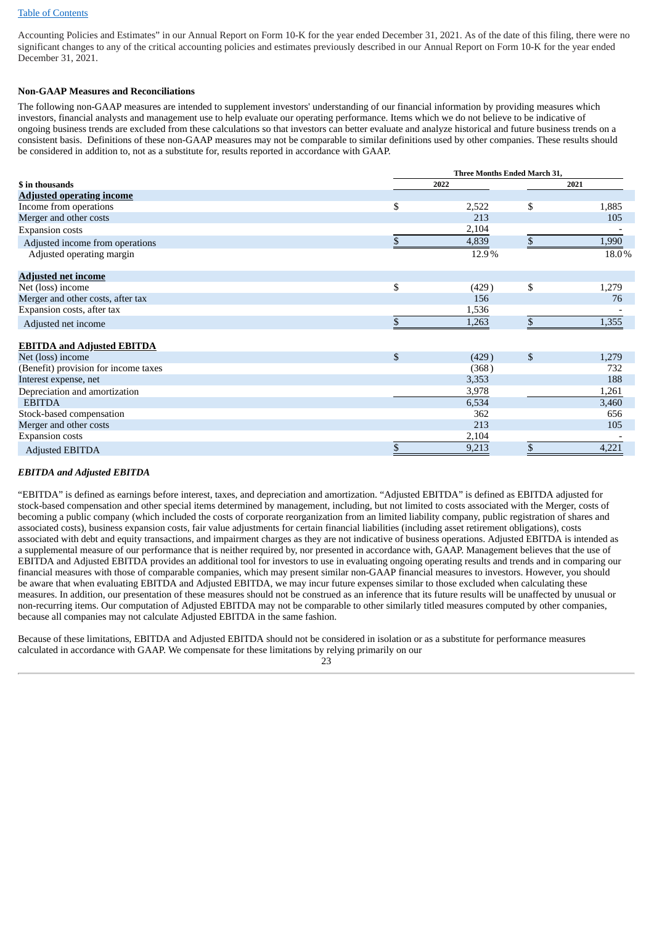Accounting Policies and Estimates" in our Annual Report on Form 10-K for the year ended December 31, 2021. As of the date of this filing, there were no significant changes to any of the critical accounting policies and estimates previously described in our Annual Report on Form 10-K for the year ended December 31, 2021.

#### **Non-GAAP Measures and Reconciliations**

The following non-GAAP measures are intended to supplement investors' understanding of our financial information by providing measures which investors, financial analysts and management use to help evaluate our operating performance. Items which we do not believe to be indicative of ongoing business trends are excluded from these calculations so that investors can better evaluate and analyze historical and future business trends on a consistent basis. Definitions of these non-GAAP measures may not be comparable to similar definitions used by other companies. These results should be considered in addition to, not as a substitute for, results reported in accordance with GAAP.

|                                      |                | <b>Three Months Ended March 31.</b> |    |       |  |  |
|--------------------------------------|----------------|-------------------------------------|----|-------|--|--|
| \$ in thousands                      |                | 2022                                |    | 2021  |  |  |
| <b>Adjusted operating income</b>     |                |                                     |    |       |  |  |
| Income from operations               | \$             | 2,522                               | \$ | 1,885 |  |  |
| Merger and other costs               |                | 213                                 |    | 105   |  |  |
| <b>Expansion costs</b>               |                | 2,104                               |    |       |  |  |
| Adjusted income from operations      | $\mathfrak{F}$ | 4,839                               | \$ | 1,990 |  |  |
| Adjusted operating margin            |                | 12.9%                               |    | 18.0% |  |  |
| <b>Adjusted net income</b>           |                |                                     |    |       |  |  |
| Net (loss) income                    | \$             | (429)                               | \$ | 1,279 |  |  |
| Merger and other costs, after tax    |                | 156                                 |    | 76    |  |  |
| Expansion costs, after tax           |                | 1,536                               |    |       |  |  |
| Adjusted net income                  | \$             | 1,263                               | \$ | 1,355 |  |  |
| <b>EBITDA and Adjusted EBITDA</b>    |                |                                     |    |       |  |  |
| Net (loss) income                    | $\mathcal{S}$  | (429)                               | \$ | 1,279 |  |  |
| (Benefit) provision for income taxes |                | (368)                               |    | 732   |  |  |
| Interest expense, net                |                | 3,353                               |    | 188   |  |  |
| Depreciation and amortization        |                | 3,978                               |    | 1,261 |  |  |
| <b>EBITDA</b>                        |                | 6,534                               |    | 3,460 |  |  |
| Stock-based compensation             |                | 362                                 |    | 656   |  |  |
| Merger and other costs               |                | 213                                 |    | 105   |  |  |
| <b>Expansion costs</b>               |                | 2,104                               |    |       |  |  |
| <b>Adjusted EBITDA</b>               | \$             | 9,213                               | \$ | 4,221 |  |  |

#### *EBITDA and Adjusted EBITDA*

"EBITDA" is defined as earnings before interest, taxes, and depreciation and amortization. "Adjusted EBITDA" is defined as EBITDA adjusted for stock-based compensation and other special items determined by management, including, but not limited to costs associated with the Merger, costs of becoming a public company (which included the costs of corporate reorganization from an limited liability company, public registration of shares and associated costs), business expansion costs, fair value adjustments for certain financial liabilities (including asset retirement obligations), costs associated with debt and equity transactions, and impairment charges as they are not indicative of business operations. Adjusted EBITDA is intended as a supplemental measure of our performance that is neither required by, nor presented in accordance with, GAAP. Management believes that the use of EBITDA and Adjusted EBITDA provides an additional tool for investors to use in evaluating ongoing operating results and trends and in comparing our financial measures with those of comparable companies, which may present similar non-GAAP financial measures to investors. However, you should be aware that when evaluating EBITDA and Adjusted EBITDA, we may incur future expenses similar to those excluded when calculating these measures. In addition, our presentation of these measures should not be construed as an inference that its future results will be unaffected by unusual or non-recurring items. Our computation of Adjusted EBITDA may not be comparable to other similarly titled measures computed by other companies, because all companies may not calculate Adjusted EBITDA in the same fashion.

Because of these limitations, EBITDA and Adjusted EBITDA should not be considered in isolation or as a substitute for performance measures calculated in accordance with GAAP. We compensate for these limitations by relying primarily on our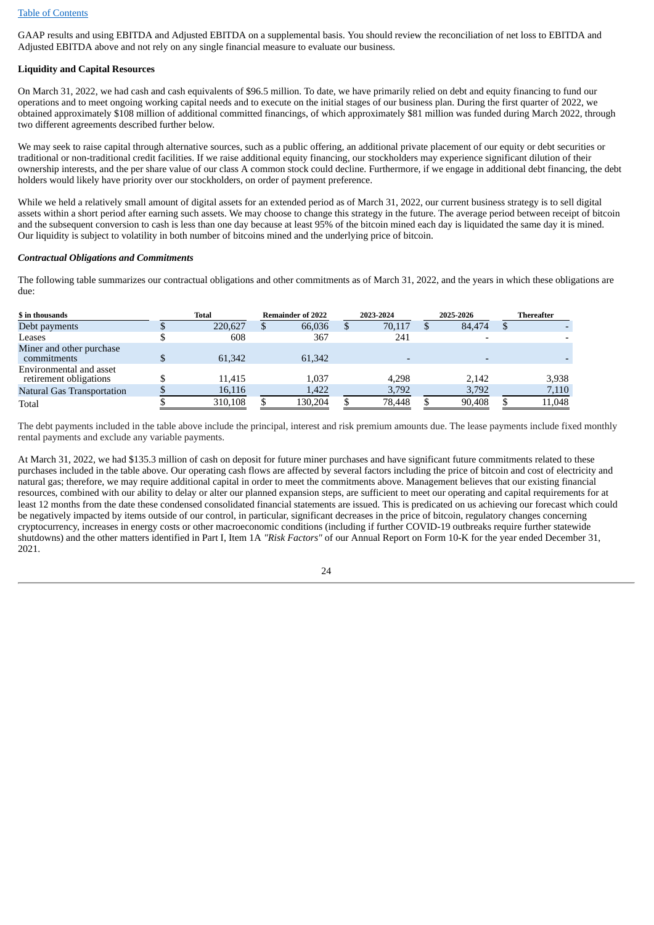GAAP results and using EBITDA and Adjusted EBITDA on a supplemental basis. You should review the reconciliation of net loss to EBITDA and Adjusted EBITDA above and not rely on any single financial measure to evaluate our business.

## **Liquidity and Capital Resources**

On March 31, 2022, we had cash and cash equivalents of \$96.5 million. To date, we have primarily relied on debt and equity financing to fund our operations and to meet ongoing working capital needs and to execute on the initial stages of our business plan. During the first quarter of 2022, we obtained approximately \$108 million of additional committed financings, of which approximately \$81 million was funded during March 2022, through two different agreements described further below.

We may seek to raise capital through alternative sources, such as a public offering, an additional private placement of our equity or debt securities or traditional or non-traditional credit facilities. If we raise additional equity financing, our stockholders may experience significant dilution of their ownership interests, and the per share value of our class A common stock could decline. Furthermore, if we engage in additional debt financing, the debt holders would likely have priority over our stockholders, on order of payment preference.

While we held a relatively small amount of digital assets for an extended period as of March 31, 2022, our current business strategy is to sell digital assets within a short period after earning such assets. We may choose to change this strategy in the future. The average period between receipt of bitcoin and the subsequent conversion to cash is less than one day because at least 95% of the bitcoin mined each day is liquidated the same day it is mined. Our liquidity is subject to volatility in both number of bitcoins mined and the underlying price of bitcoin.

#### *Contractual Obligations and Commitments*

The following table summarizes our contractual obligations and other commitments as of March 31, 2022, and the years in which these obligations are due:

| \$ in thousands                                   | <b>Total</b> | <b>Remainder of 2022</b> | 2023-2024 | 2025-2026 | Thereafter |
|---------------------------------------------------|--------------|--------------------------|-----------|-----------|------------|
| Debt payments                                     | 220,627      | 66,036                   | 70.117    | 84,474    |            |
| Leases                                            | 608          | 367                      | 241       |           |            |
| Miner and other purchase<br>commitments           | 61,342       | 61.342                   |           |           |            |
| Environmental and asset<br>retirement obligations | 11,415       | 1,037                    | 4,298     | 2,142     | 3,938      |
| <b>Natural Gas Transportation</b>                 | 16,116       | 1,422                    | 3,792     | 3,792     | 7,110      |
| Total                                             | 310,108      | 130,204                  | 78,448    | 90,408    | 11,048     |

The debt payments included in the table above include the principal, interest and risk premium amounts due. The lease payments include fixed monthly rental payments and exclude any variable payments.

At March 31, 2022, we had \$135.3 million of cash on deposit for future miner purchases and have significant future commitments related to these purchases included in the table above. Our operating cash flows are affected by several factors including the price of bitcoin and cost of electricity and natural gas; therefore, we may require additional capital in order to meet the commitments above. Management believes that our existing financial resources, combined with our ability to delay or alter our planned expansion steps, are sufficient to meet our operating and capital requirements for at least 12 months from the date these condensed consolidated financial statements are issued. This is predicated on us achieving our forecast which could be negatively impacted by items outside of our control, in particular, significant decreases in the price of bitcoin, regulatory changes concerning cryptocurrency, increases in energy costs or other macroeconomic conditions (including if further COVID-19 outbreaks require further statewide shutdowns) and the other matters identified in Part I, Item 1A *"Risk Factors"* of our Annual Report on Form 10-K for the year ended December 31, 2021.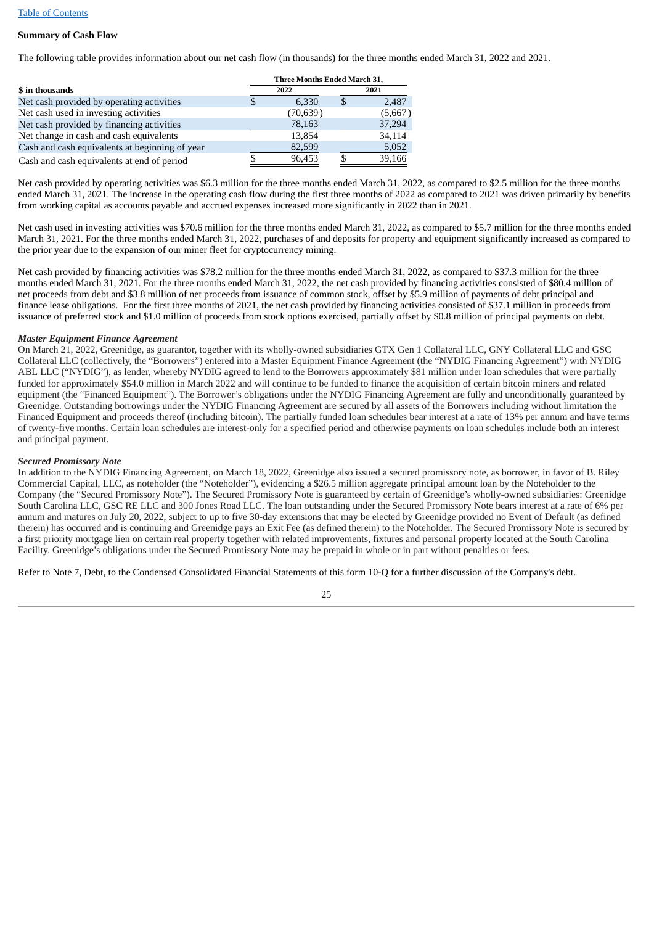## **Summary of Cash Flow**

The following table provides information about our net cash flow (in thousands) for the three months ended March 31, 2022 and 2021.

|                                                | Three Months Ended March 31, |           |      |         |  |
|------------------------------------------------|------------------------------|-----------|------|---------|--|
| \$ in thousands                                |                              | 2022      | 2021 |         |  |
| Net cash provided by operating activities      |                              | 6.330     |      | 2,487   |  |
| Net cash used in investing activities          |                              | (70, 639) |      | (5,667) |  |
| Net cash provided by financing activities      |                              | 78,163    |      | 37,294  |  |
| Net change in cash and cash equivalents        |                              | 13,854    |      | 34,114  |  |
| Cash and cash equivalents at beginning of year |                              | 82,599    |      | 5,052   |  |
| Cash and cash equivalents at end of period     |                              | 96,453    |      | 39,166  |  |

Net cash provided by operating activities was \$6.3 million for the three months ended March 31, 2022, as compared to \$2.5 million for the three months ended March 31, 2021. The increase in the operating cash flow during the first three months of 2022 as compared to 2021 was driven primarily by benefits from working capital as accounts payable and accrued expenses increased more significantly in 2022 than in 2021.

Net cash used in investing activities was \$70.6 million for the three months ended March 31, 2022, as compared to \$5.7 million for the three months ended March 31, 2021. For the three months ended March 31, 2022, purchases of and deposits for property and equipment significantly increased as compared to the prior year due to the expansion of our miner fleet for cryptocurrency mining.

Net cash provided by financing activities was \$78.2 million for the three months ended March 31, 2022, as compared to \$37.3 million for the three months ended March 31, 2021. For the three months ended March 31, 2022, the net cash provided by financing activities consisted of \$80.4 million of net proceeds from debt and \$3.8 million of net proceeds from issuance of common stock, offset by \$5.9 million of payments of debt principal and finance lease obligations. For the first three months of 2021, the net cash provided by financing activities consisted of \$37.1 million in proceeds from issuance of preferred stock and \$1.0 million of proceeds from stock options exercised, partially offset by \$0.8 million of principal payments on debt.

#### *Master Equipment Finance Agreement*

On March 21, 2022, Greenidge, as guarantor, together with its wholly-owned subsidiaries GTX Gen 1 Collateral LLC, GNY Collateral LLC and GSC Collateral LLC (collectively, the "Borrowers") entered into a Master Equipment Finance Agreement (the "NYDIG Financing Agreement") with NYDIG ABL LLC ("NYDIG"), as lender, whereby NYDIG agreed to lend to the Borrowers approximately \$81 million under loan schedules that were partially funded for approximately \$54.0 million in March 2022 and will continue to be funded to finance the acquisition of certain bitcoin miners and related equipment (the "Financed Equipment"). The Borrower's obligations under the NYDIG Financing Agreement are fully and unconditionally guaranteed by Greenidge. Outstanding borrowings under the NYDIG Financing Agreement are secured by all assets of the Borrowers including without limitation the Financed Equipment and proceeds thereof (including bitcoin). The partially funded loan schedules bear interest at a rate of 13% per annum and have terms of twenty-five months. Certain loan schedules are interest-only for a specified period and otherwise payments on loan schedules include both an interest and principal payment.

#### *Secured Promissory Note*

In addition to the NYDIG Financing Agreement, on March 18, 2022, Greenidge also issued a secured promissory note, as borrower, in favor of B. Riley Commercial Capital, LLC, as noteholder (the "Noteholder"), evidencing a \$26.5 million aggregate principal amount loan by the Noteholder to the Company (the "Secured Promissory Note"). The Secured Promissory Note is guaranteed by certain of Greenidge's wholly-owned subsidiaries: Greenidge South Carolina LLC, GSC RE LLC and 300 Jones Road LLC. The loan outstanding under the Secured Promissory Note bears interest at a rate of 6% per annum and matures on July 20, 2022, subject to up to five 30-day extensions that may be elected by Greenidge provided no Event of Default (as defined therein) has occurred and is continuing and Greenidge pays an Exit Fee (as defined therein) to the Noteholder. The Secured Promissory Note is secured by a first priority mortgage lien on certain real property together with related improvements, fixtures and personal property located at the South Carolina Facility. Greenidge's obligations under the Secured Promissory Note may be prepaid in whole or in part without penalties or fees.

Refer to Note 7, Debt, to the Condensed Consolidated Financial Statements of this form 10-Q for a further discussion of the Company's debt.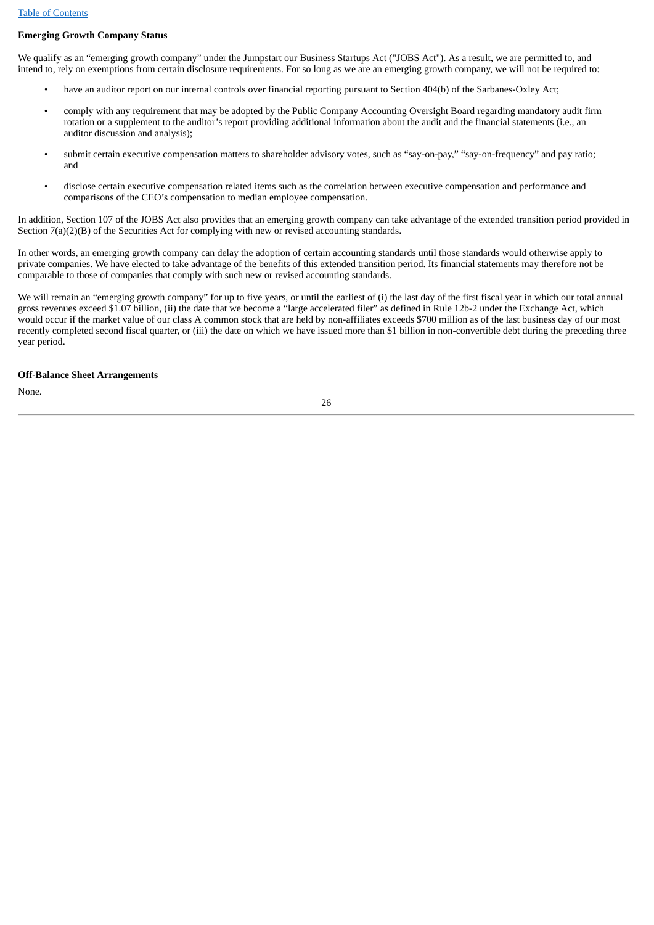## **Emerging Growth Company Status**

We qualify as an "emerging growth company" under the Jumpstart our Business Startups Act ("JOBS Act"). As a result, we are permitted to, and intend to, rely on exemptions from certain disclosure requirements. For so long as we are an emerging growth company, we will not be required to:

- have an auditor report on our internal controls over financial reporting pursuant to Section 404(b) of the Sarbanes-Oxley Act;
- comply with any requirement that may be adopted by the Public Company Accounting Oversight Board regarding mandatory audit firm rotation or a supplement to the auditor's report providing additional information about the audit and the financial statements (i.e., an auditor discussion and analysis);
- submit certain executive compensation matters to shareholder advisory votes, such as "say-on-pay," "say-on-frequency" and pay ratio; and
- disclose certain executive compensation related items such as the correlation between executive compensation and performance and comparisons of the CEO's compensation to median employee compensation.

In addition, Section 107 of the JOBS Act also provides that an emerging growth company can take advantage of the extended transition period provided in Section 7(a)(2)(B) of the Securities Act for complying with new or revised accounting standards.

In other words, an emerging growth company can delay the adoption of certain accounting standards until those standards would otherwise apply to private companies. We have elected to take advantage of the benefits of this extended transition period. Its financial statements may therefore not be comparable to those of companies that comply with such new or revised accounting standards.

We will remain an "emerging growth company" for up to five years, or until the earliest of (i) the last day of the first fiscal year in which our total annual gross revenues exceed \$1.07 billion, (ii) the date that we become a "large accelerated filer" as defined in Rule 12b-2 under the Exchange Act, which would occur if the market value of our class A common stock that are held by non-affiliates exceeds \$700 million as of the last business day of our most recently completed second fiscal quarter, or (iii) the date on which we have issued more than \$1 billion in non-convertible debt during the preceding three year period.

#### **Off-Balance Sheet Arrangements**

None.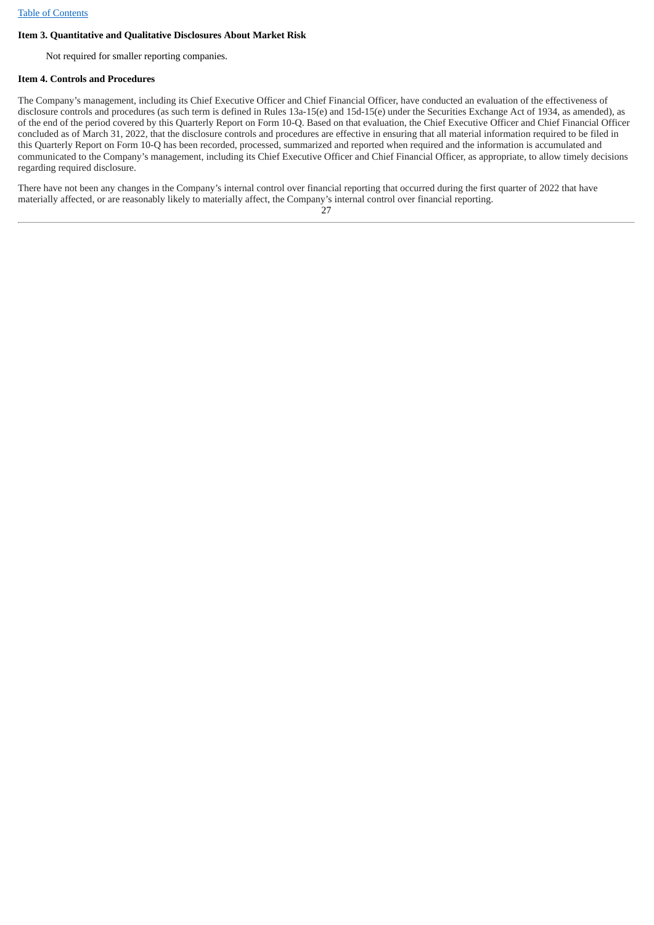#### <span id="page-27-0"></span>**Item 3. Quantitative and Qualitative Disclosures About Market Risk**

Not required for smaller reporting companies.

#### <span id="page-27-1"></span>**Item 4. Controls and Procedures**

The Company's management, including its Chief Executive Officer and Chief Financial Officer, have conducted an evaluation of the effectiveness of disclosure controls and procedures (as such term is defined in Rules 13a-15(e) and 15d-15(e) under the Securities Exchange Act of 1934, as amended), as of the end of the period covered by this Quarterly Report on Form 10-Q. Based on that evaluation, the Chief Executive Officer and Chief Financial Officer concluded as of March 31, 2022, that the disclosure controls and procedures are effective in ensuring that all material information required to be filed in this Quarterly Report on Form 10-Q has been recorded, processed, summarized and reported when required and the information is accumulated and communicated to the Company's management, including its Chief Executive Officer and Chief Financial Officer, as appropriate, to allow timely decisions regarding required disclosure.

There have not been any changes in the Company's internal control over financial reporting that occurred during the first quarter of 2022 that have materially affected, or are reasonably likely to materially affect, the Company's internal control over financial reporting.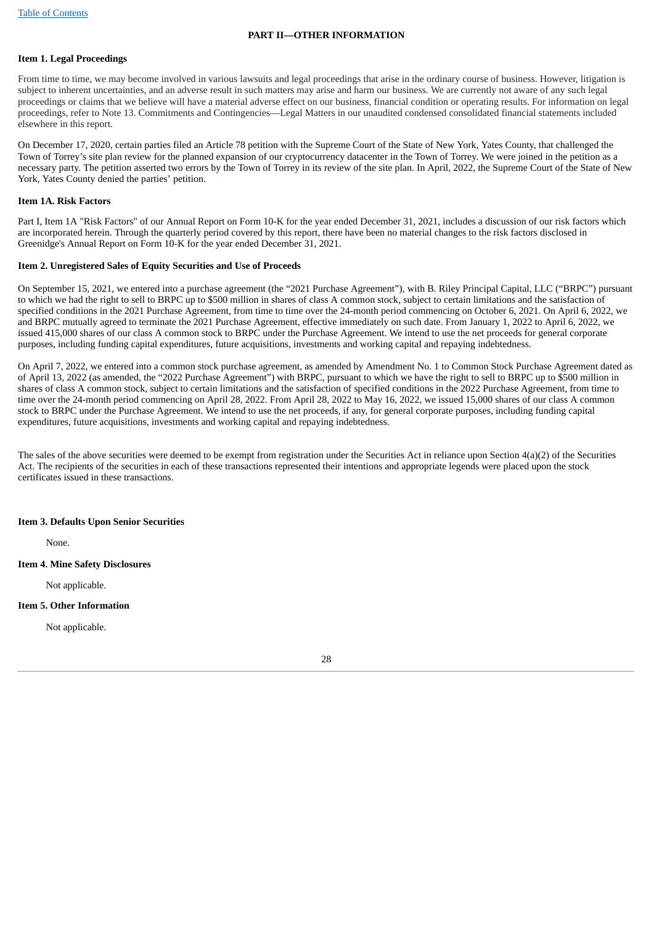#### **PART II—OTHER INFORMATION**

#### <span id="page-28-1"></span><span id="page-28-0"></span>**Item 1. Legal Proceedings**

From time to time, we may become involved in various lawsuits and legal proceedings that arise in the ordinary course of business. However, litigation is subject to inherent uncertainties, and an adverse result in such matters may arise and harm our business. We are currently not aware of any such legal proceedings or claims that we believe will have a material adverse effect on our business, financial condition or operating results. For information on legal proceedings, refer to Note 13. Commitments and Contingencies—Legal Matters in our unaudited condensed consolidated financial statements included elsewhere in this report.

On December 17, 2020, certain parties filed an Article 78 petition with the Supreme Court of the State of New York, Yates County, that challenged the Town of Torrey's site plan review for the planned expansion of our cryptocurrency datacenter in the Town of Torrey. We were joined in the petition as a necessary party. The petition asserted two errors by the Town of Torrey in its review of the site plan. In April, 2022, the Supreme Court of the State of New York, Yates County denied the parties' petition.

#### <span id="page-28-2"></span>**Item 1A. Risk Factors**

Part I, Item 1A "Risk Factors" of our Annual Report on Form 10-K for the year ended December 31, 2021, includes a discussion of our risk factors which are incorporated herein. Through the quarterly period covered by this report, there have been no material changes to the risk factors disclosed in Greenidge's Annual Report on Form 10-K for the year ended December 31, 2021.

#### <span id="page-28-3"></span>**Item 2. Unregistered Sales of Equity Securities and Use of Proceeds**

On September 15, 2021, we entered into a purchase agreement (the "2021 Purchase Agreement"), with B. Riley Principal Capital, LLC ("BRPC") pursuant to which we had the right to sell to BRPC up to \$500 million in shares of class A common stock, subject to certain limitations and the satisfaction of specified conditions in the 2021 Purchase Agreement, from time to time over the 24-month period commencing on October 6, 2021. On April 6, 2022, we and BRPC mutually agreed to terminate the 2021 Purchase Agreement, effective immediately on such date. From January 1, 2022 to April 6, 2022, we issued 415,000 shares of our class A common stock to BRPC under the Purchase Agreement. We intend to use the net proceeds for general corporate purposes, including funding capital expenditures, future acquisitions, investments and working capital and repaying indebtedness.

On April 7, 2022, we entered into a common stock purchase agreement, as amended by Amendment No. 1 to Common Stock Purchase Agreement dated as of April 13, 2022 (as amended, the "2022 Purchase Agreement") with BRPC, pursuant to which we have the right to sell to BRPC up to \$500 million in shares of class A common stock, subject to certain limitations and the satisfaction of specified conditions in the 2022 Purchase Agreement, from time to time over the 24-month period commencing on April 28, 2022. From April 28, 2022 to May 16, 2022, we issued 15,000 shares of our class A common stock to BRPC under the Purchase Agreement. We intend to use the net proceeds, if any, for general corporate purposes, including funding capital expenditures, future acquisitions, investments and working capital and repaying indebtedness.

The sales of the above securities were deemed to be exempt from registration under the Securities Act in reliance upon Section 4(a)(2) of the Securities Act. The recipients of the securities in each of these transactions represented their intentions and appropriate legends were placed upon the stock certificates issued in these transactions.

#### <span id="page-28-4"></span>**Item 3. Defaults Upon Senior Securities**

None.

#### <span id="page-28-5"></span>**Item 4. Mine Safety Disclosures**

Not applicable.

#### <span id="page-28-6"></span>**Item 5. Other Information**

Not applicable.

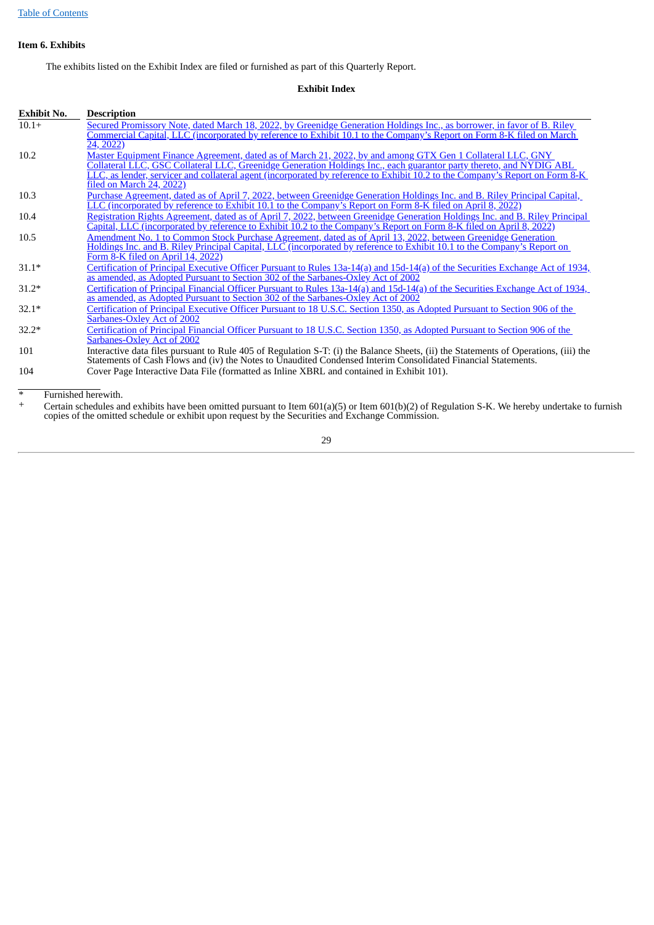## <span id="page-29-0"></span>**Item 6. Exhibits**

The exhibits listed on the Exhibit Index are filed or furnished as part of this Quarterly Report.

## **Exhibit Index**

<span id="page-29-1"></span>

| <b>Exhibit No.</b> | <b>Description</b>                                                                                                                                                                                                                      |
|--------------------|-----------------------------------------------------------------------------------------------------------------------------------------------------------------------------------------------------------------------------------------|
| $10.1+$            | Secured Promissory Note, dated March 18, 2022, by Greenidge Generation Holdings Inc., as borrower, in favor of B. Riley                                                                                                                 |
|                    | Commercial Capital, LLC (incorporated by reference to Exhibit 10.1 to the Company's Report on Form 8-K filed on March                                                                                                                   |
|                    | 24, 2022)                                                                                                                                                                                                                               |
| 10.2               | Master Equipment Finance Agreement, dated as of March 21, 2022, by and among GTX Gen 1 Collateral LLC, GNY                                                                                                                              |
|                    | Collateral LLC, GSC Collateral LLC, Greenidge Generation Holdings Inc., each guarantor party thereto, and NYDIG ABL                                                                                                                     |
|                    | LLC, as lender, servicer and collateral agent (incorporated by reference to Exhibit 10.2 to the Company's Report on Form 8-K                                                                                                            |
|                    | filed on March 24, 2022)                                                                                                                                                                                                                |
| 10.3               | Purchase Agreement, dated as of April 7, 2022, between Greenidge Generation Holdings Inc. and B. Riley Principal Capital,<br>LLC (incorporated by reference to Exhibit 10.1 to the Company's Report on Form 8-K filed on April 8, 2022) |
| 10.4               | Registration Rights Agreement, dated as of April 7, 2022, between Greenidge Generation Holdings Inc. and B. Riley Principal                                                                                                             |
|                    | Capital, LLC (incorporated by reference to Exhibit 10.2 to the Company's Report on Form 8-K filed on April 8, 2022)                                                                                                                     |
| 10.5               | Amendment No. 1 to Common Stock Purchase Agreement, dated as of April 13, 2022, between Greenidge Generation                                                                                                                            |
|                    | Holdings Inc. and B. Riley Principal Capital, LLC (incorporated by reference to Exhibit 10.1 to the Company's Report on                                                                                                                 |
|                    | Form 8-K filed on April 14, 2022)                                                                                                                                                                                                       |
| $31.1*$            | Certification of Principal Executive Officer Pursuant to Rules 13a-14(a) and 15d-14(a) of the Securities Exchange Act of 1934,                                                                                                          |
|                    | as amended, as Adopted Pursuant to Section 302 of the Sarbanes-Oxley Act of 2002                                                                                                                                                        |
| $31.2*$            | Certification of Principal Financial Officer Pursuant to Rules 13a-14(a) and 15d-14(a) of the Securities Exchange Act of 1934,                                                                                                          |
|                    | as amended, as Adopted Pursuant to Section 302 of the Sarbanes-Oxley Act of 2002                                                                                                                                                        |
| $32.1*$            | Certification of Principal Executive Officer Pursuant to 18 U.S.C. Section 1350, as Adopted Pursuant to Section 906 of the                                                                                                              |
|                    | Sarbanes-Oxley Act of 2002                                                                                                                                                                                                              |
| $32.2*$            | Certification of Principal Financial Officer Pursuant to 18 U.S.C. Section 1350, as Adopted Pursuant to Section 906 of the                                                                                                              |
|                    | Sarbanes-Oxley Act of 2002                                                                                                                                                                                                              |
| 101                | Interactive data files pursuant to Rule 405 of Regulation S-T: (i) the Balance Sheets, (ii) the Statements of Operations, (iii) the                                                                                                     |
|                    | Statements of Cash Flows and (iv) the Notes to Unaudited Condensed Interim Consolidated Financial Statements.                                                                                                                           |
| 104                | Cover Page Interactive Data File (formatted as Inline XBRL and contained in Exhibit 101).                                                                                                                                               |

\* Furnished herewith.

 $+$  Certain schedules and exhibits have been omitted pursuant to Item 601(a)(5) or Item 601(b)(2) of Regulation S-K. We hereby undertake to furnish copies of the omitted schedule or exhibit upon request by the Securities and Exchange Commission.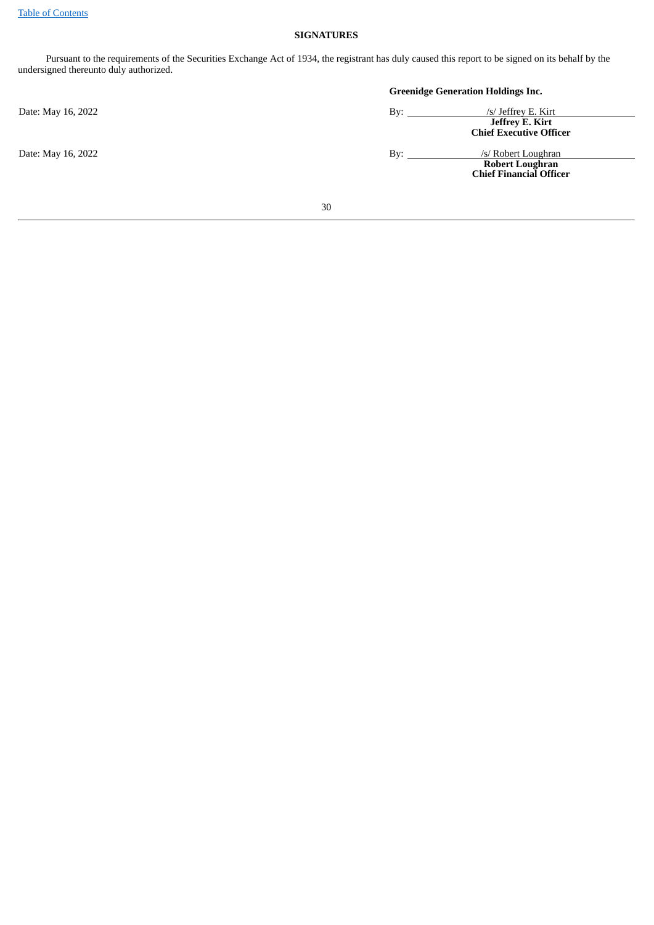## **SIGNATURES**

<span id="page-30-0"></span>Pursuant to the requirements of the Securities Exchange Act of 1934, the registrant has duly caused this report to be signed on its behalf by the undersigned thereunto duly authorized.

|                    |    | <b>Greenidge Generation Holdings Inc.</b> |                                                                                 |  |  |
|--------------------|----|-------------------------------------------|---------------------------------------------------------------------------------|--|--|
| Date: May 16, 2022 |    | By:                                       | /s/ Jeffrey E. Kirt<br>Jeffrey E. Kirt<br><b>Chief Executive Officer</b>        |  |  |
| Date: May 16, 2022 |    | By:                                       | /s/ Robert Loughran<br><b>Robert Loughran</b><br><b>Chief Financial Officer</b> |  |  |
|                    | 30 |                                           |                                                                                 |  |  |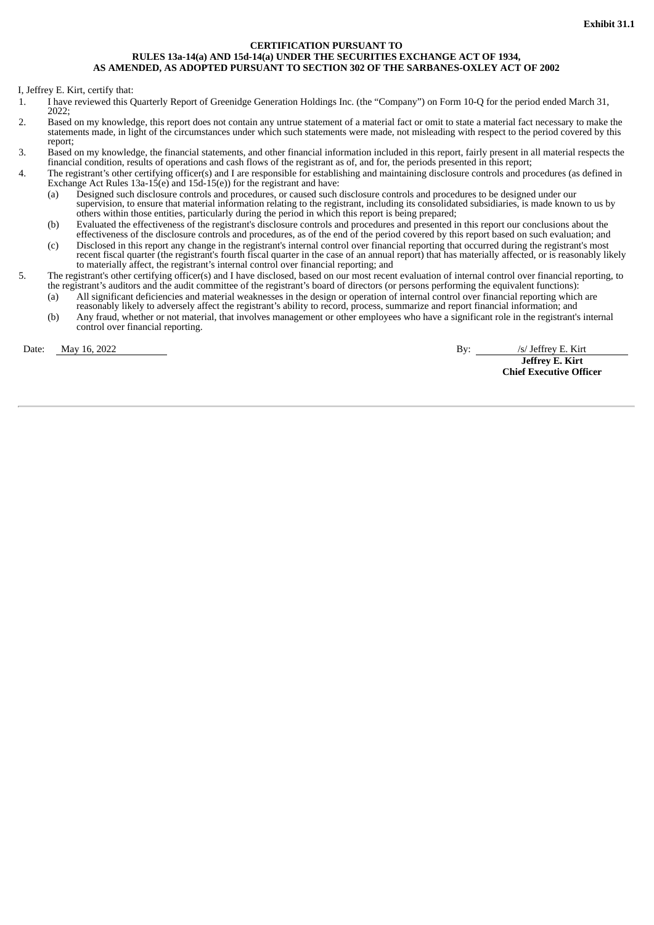#### **CERTIFICATION PURSUANT TO RULES 13a-14(a) AND 15d-14(a) UNDER THE SECURITIES EXCHANGE ACT OF 1934, AS AMENDED, AS ADOPTED PURSUANT TO SECTION 302 OF THE SARBANES-OXLEY ACT OF 2002**

<span id="page-31-0"></span>I, Jeffrey E. Kirt, certify that:

- 1. I have reviewed this Quarterly Report of Greenidge Generation Holdings Inc. (the "Company") on Form 10-Q for the period ended March 31,  $2022$
- 2. Based on my knowledge, this report does not contain any untrue statement of a material fact or omit to state a material fact necessary to make the statements made, in light of the circumstances under which such statements were made, not misleading with respect to the period covered by this report;
- 3. Based on my knowledge, the financial statements, and other financial information included in this report, fairly present in all material respects the financial condition, results of operations and cash flows of the registrant as of, and for, the periods presented in this report;
- 4. The registrant's other certifying officer(s) and I are responsible for establishing and maintaining disclosure controls and procedures (as defined in Exchange Act Rules 13a-15(e) and 15d-15(e)) for the registrant and have:
	- (a) Designed such disclosure controls and procedures, or caused such disclosure controls and procedures to be designed under our supervision, to ensure that material information relating to the registrant, including its consolidated subsidiaries, is made known to us by others within those entities, particularly during the period in which this report is being prepared;
	- (b) Evaluated the effectiveness of the registrant's disclosure controls and procedures and presented in this report our conclusions about the effectiveness of the disclosure controls and procedures, as of the end of the period covered by this report based on such evaluation; and
	- (c) Disclosed in this report any change in the registrant's internal control over financial reporting that occurred during the registrant's most recent fiscal quarter (the registrant's fourth fiscal quarter in the case of an annual report) that has materially affected, or is reasonably likely to materially affect, the registrant's internal control over financial reporting; and
- 5. The registrant's other certifying officer(s) and I have disclosed, based on our most recent evaluation of internal control over financial reporting, to the registrant's auditors and the audit committee of the registrant's board of directors (or persons performing the equivalent functions):
	- (a) All significant deficiencies and material weaknesses in the design or operation of internal control over financial reporting which are reasonably likely to adversely affect the registrant's ability to record, process, summarize and report financial information; and
		- (b) Any fraud, whether or not material, that involves management or other employees who have a significant role in the registrant's internal control over financial reporting.

Date: May 16, 2022 By: /s/ Jeffrey E. Kirt **Jeffrey E. Kirt Chief Executive Officer**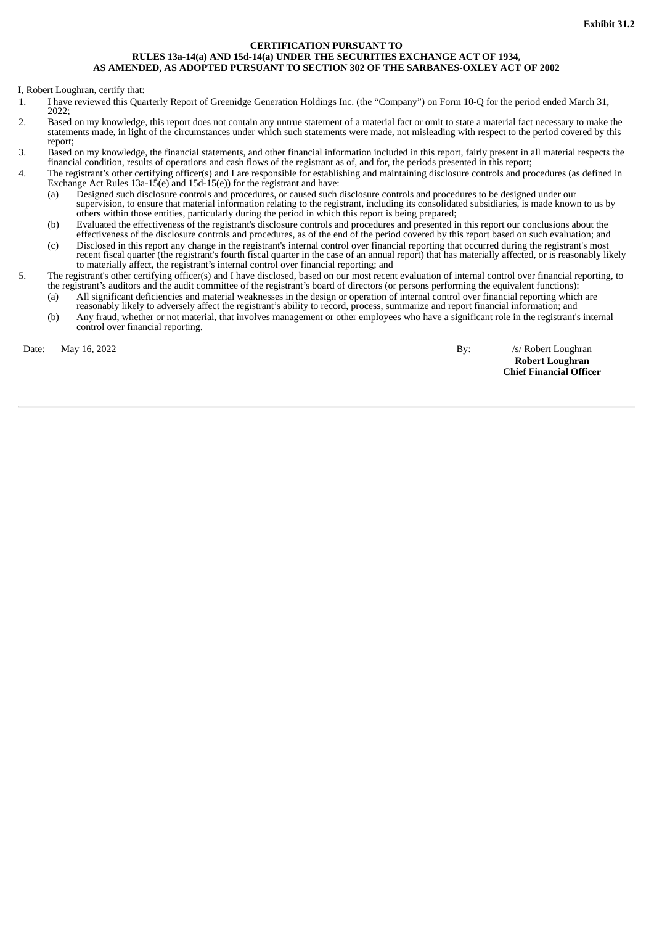#### **CERTIFICATION PURSUANT TO RULES 13a-14(a) AND 15d-14(a) UNDER THE SECURITIES EXCHANGE ACT OF 1934, AS AMENDED, AS ADOPTED PURSUANT TO SECTION 302 OF THE SARBANES-OXLEY ACT OF 2002**

<span id="page-32-0"></span>I, Robert Loughran, certify that:

- 1. I have reviewed this Quarterly Report of Greenidge Generation Holdings Inc. (the "Company") on Form 10-Q for the period ended March 31,  $2022$
- 2. Based on my knowledge, this report does not contain any untrue statement of a material fact or omit to state a material fact necessary to make the statements made, in light of the circumstances under which such statements were made, not misleading with respect to the period covered by this report;
- 3. Based on my knowledge, the financial statements, and other financial information included in this report, fairly present in all material respects the financial condition, results of operations and cash flows of the registrant as of, and for, the periods presented in this report;
- 4. The registrant's other certifying officer(s) and I are responsible for establishing and maintaining disclosure controls and procedures (as defined in Exchange Act Rules 13a-15(e) and 15d-15(e)) for the registrant and have:
	- (a) Designed such disclosure controls and procedures, or caused such disclosure controls and procedures to be designed under our supervision, to ensure that material information relating to the registrant, including its consolidated subsidiaries, is made known to us by others within those entities, particularly during the period in which this report is being prepared;
	- (b) Evaluated the effectiveness of the registrant's disclosure controls and procedures and presented in this report our conclusions about the effectiveness of the disclosure controls and procedures, as of the end of the period covered by this report based on such evaluation; and
	- (c) Disclosed in this report any change in the registrant's internal control over financial reporting that occurred during the registrant's most recent fiscal quarter (the registrant's fourth fiscal quarter in the case of an annual report) that has materially affected, or is reasonably likely to materially affect, the registrant's internal control over financial reporting; and
- 5. The registrant's other certifying officer(s) and I have disclosed, based on our most recent evaluation of internal control over financial reporting, to the registrant's auditors and the audit committee of the registrant's board of directors (or persons performing the equivalent functions):
	- (a) All significant deficiencies and material weaknesses in the design or operation of internal control over financial reporting which are reasonably likely to adversely affect the registrant's ability to record, process, summarize and report financial information; and
		- (b) Any fraud, whether or not material, that involves management or other employees who have a significant role in the registrant's internal control over financial reporting.

Date: May 16, 2022 <br>By: /s/ Robert Loughran **Robert Loughran Chief Financial Officer**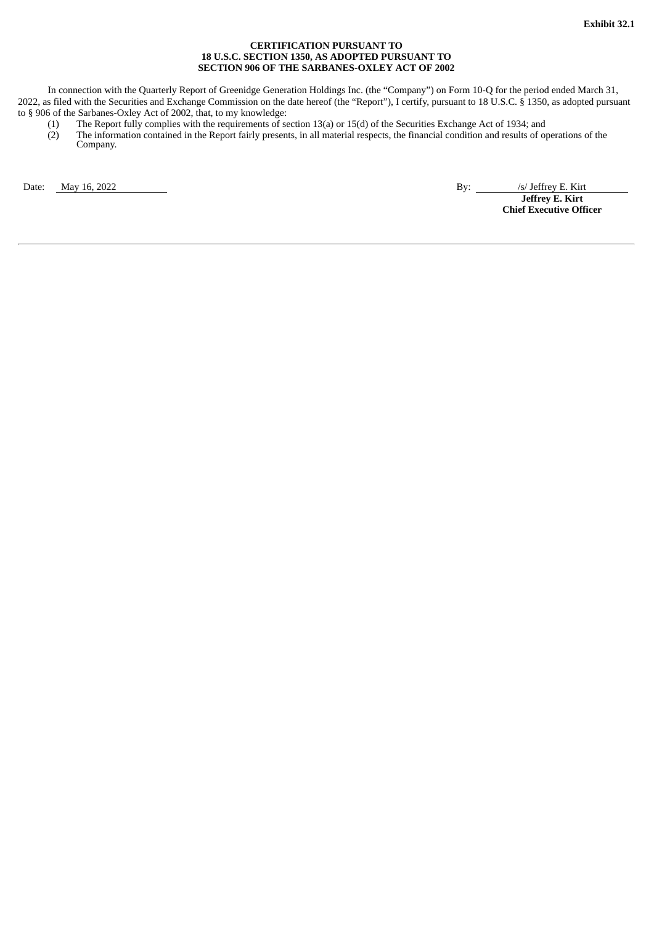#### **CERTIFICATION PURSUANT TO 18 U.S.C. SECTION 1350, AS ADOPTED PURSUANT TO SECTION 906 OF THE SARBANES-OXLEY ACT OF 2002**

<span id="page-33-0"></span>In connection with the Quarterly Report of Greenidge Generation Holdings Inc. (the "Company") on Form 10-Q for the period ended March 31, 2022, as filed with the Securities and Exchange Commission on the date hereof (the "Report"), I certify, pursuant to 18 U.S.C.  $\hat{\S}$  1350, as adopted pursuant to § 906 of the Sarbanes-Oxley Act of 2002, that, to my knowledge:

- (1) The Report fully complies with the requirements of section 13(a) or 15(d) of the Securities Exchange Act of 1934; and
- (2) The information contained in the Report fairly presents, in all material respects, the financial condition and results of operations of the Company.

Date: May 16, 2022 By: /s/ Jeffrey E. Kirt **Jeffrey E. Kirt Chief Executive Officer**